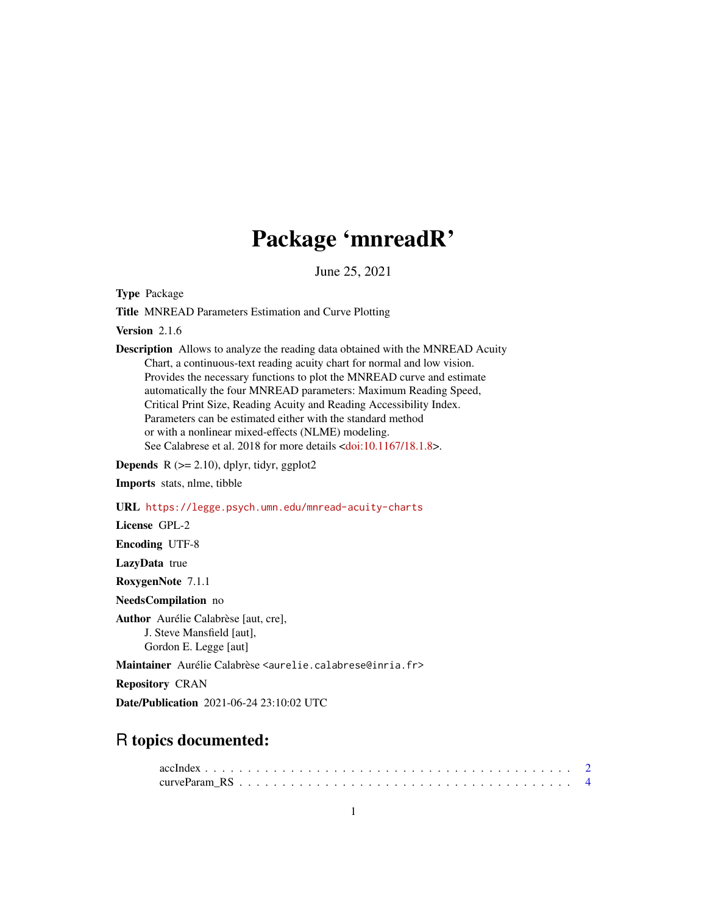# Package 'mnreadR'

June 25, 2021

<span id="page-0-0"></span>Type Package

Title MNREAD Parameters Estimation and Curve Plotting

Version 2.1.6

Description Allows to analyze the reading data obtained with the MNREAD Acuity Chart, a continuous-text reading acuity chart for normal and low vision. Provides the necessary functions to plot the MNREAD curve and estimate automatically the four MNREAD parameters: Maximum Reading Speed, Critical Print Size, Reading Acuity and Reading Accessibility Index. Parameters can be estimated either with the standard method or with a nonlinear mixed-effects (NLME) modeling. See Calabrese et al. 2018 for more details [<doi:10.1167/18.1.8>](https://doi.org/10.1167/18.1.8).

**Depends** R  $(>= 2.10)$ , dplyr, tidyr, ggplot2

Imports stats, nlme, tibble

URL <https://legge.psych.umn.edu/mnread-acuity-charts>

License GPL-2

Encoding UTF-8

LazyData true

RoxygenNote 7.1.1

NeedsCompilation no

Author Aurélie Calabrèse [aut, cre], J. Steve Mansfield [aut], Gordon E. Legge [aut]

Maintainer Aurélie Calabrèse <aurelie.calabrese@inria.fr>

Repository CRAN

Date/Publication 2021-06-24 23:10:02 UTC

# R topics documented: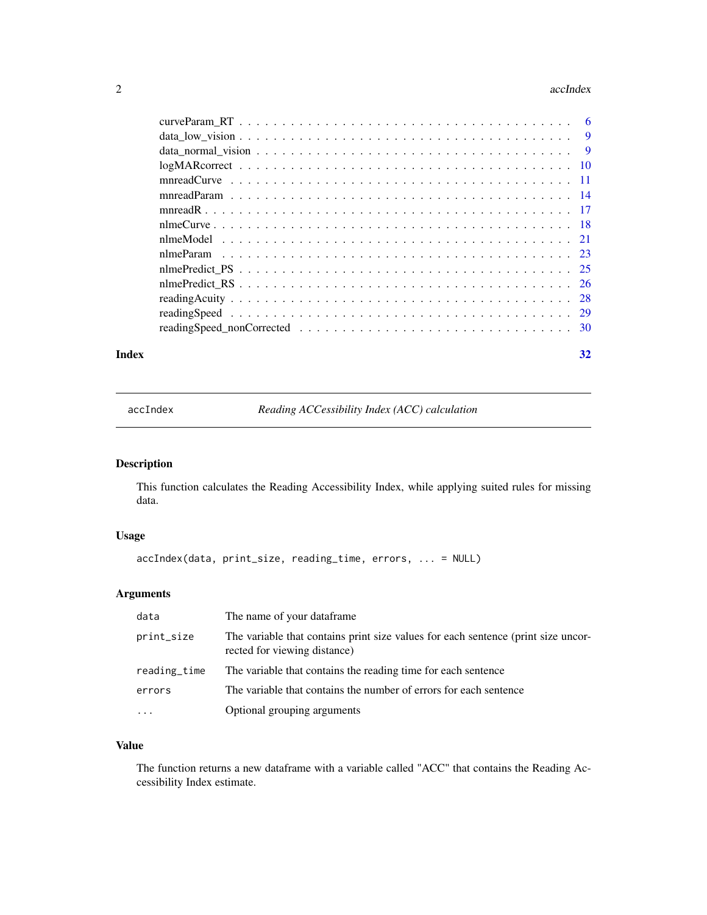#### <span id="page-1-0"></span>2 accIndex and  $\alpha$  accIndex accIndex accIndex accIndex accIndex accIndex

#### **Index** [32](#page-31-0)

<span id="page-1-1"></span>accIndex *Reading ACCessibility Index (ACC) calculation*

# Description

This function calculates the Reading Accessibility Index, while applying suited rules for missing data.

# Usage

```
accIndex(data, print_size, reading_time, errors, ... = NULL)
```
# Arguments

| data         | The name of your dataframe.                                                                                       |
|--------------|-------------------------------------------------------------------------------------------------------------------|
| print_size   | The variable that contains print size values for each sentence (print size uncor-<br>rected for viewing distance) |
| reading_time | The variable that contains the reading time for each sentence                                                     |
| errors       | The variable that contains the number of errors for each sentence                                                 |
| $\cdot$      | Optional grouping arguments                                                                                       |

# Value

The function returns a new dataframe with a variable called "ACC" that contains the Reading Accessibility Index estimate.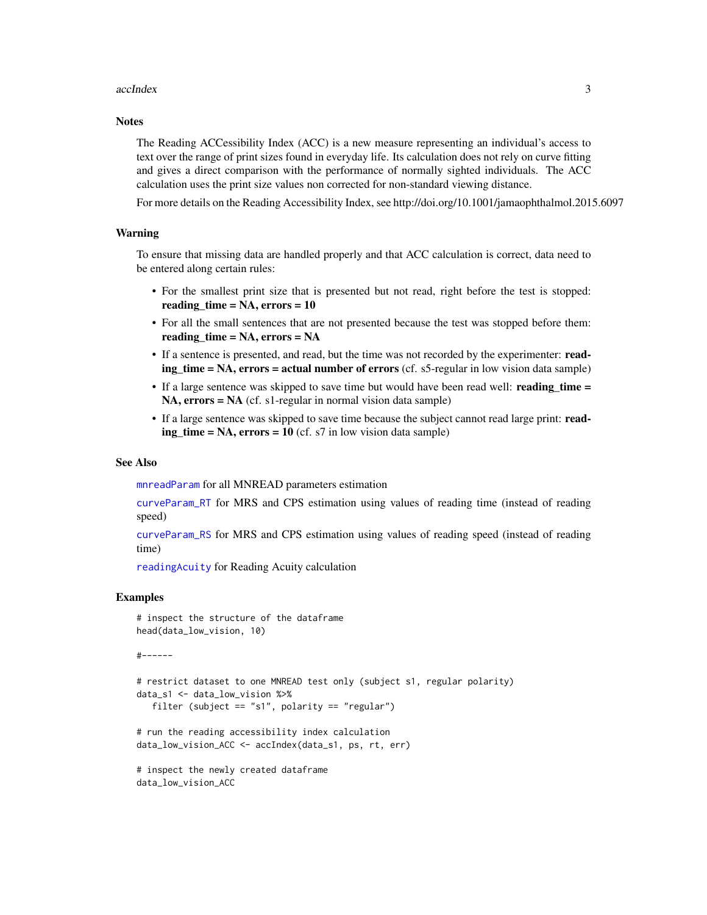#### <span id="page-2-0"></span>accIndex 3

#### **Notes**

The Reading ACCessibility Index (ACC) is a new measure representing an individual's access to text over the range of print sizes found in everyday life. Its calculation does not rely on curve fitting and gives a direct comparison with the performance of normally sighted individuals. The ACC calculation uses the print size values non corrected for non-standard viewing distance.

For more details on the Reading Accessibility Index, see http://doi.org/10.1001/jamaophthalmol.2015.6097

# Warning

To ensure that missing data are handled properly and that ACC calculation is correct, data need to be entered along certain rules:

- For the smallest print size that is presented but not read, right before the test is stopped: reading  $time = NA$ , errors = 10
- For all the small sentences that are not presented because the test was stopped before them: reading\_time = NA, errors = NA
- If a sentence is presented, and read, but the time was not recorded by the experimenter: read $ing_time = NA$ , errors = actual number of errors (cf. s5-regular in low vision data sample)
- If a large sentence was skipped to save time but would have been read well: reading\_time = NA, errors = NA (cf. s1-regular in normal vision data sample)
- If a large sentence was skipped to save time because the subject cannot read large print: read $ing_time = NA$ ,  $errors = 10$  (cf. s7 in low vision data sample)

#### See Also

[mnreadParam](#page-13-1) for all MNREAD parameters estimation

[curveParam\\_RT](#page-5-1) for MRS and CPS estimation using values of reading time (instead of reading speed)

[curveParam\\_RS](#page-3-1) for MRS and CPS estimation using values of reading speed (instead of reading time)

[readingAcuity](#page-27-1) for Reading Acuity calculation

# Examples

```
# inspect the structure of the dataframe
head(data_low_vision, 10)
```

```
#------
```

```
# restrict dataset to one MNREAD test only (subject s1, regular polarity)
data_s1 <- data_low_vision %>%
  filter (subject == "s1", polarity == "regular")
```

```
# run the reading accessibility index calculation
data_low_vision_ACC <- accIndex(data_s1, ps, rt, err)
```

```
# inspect the newly created dataframe
data_low_vision_ACC
```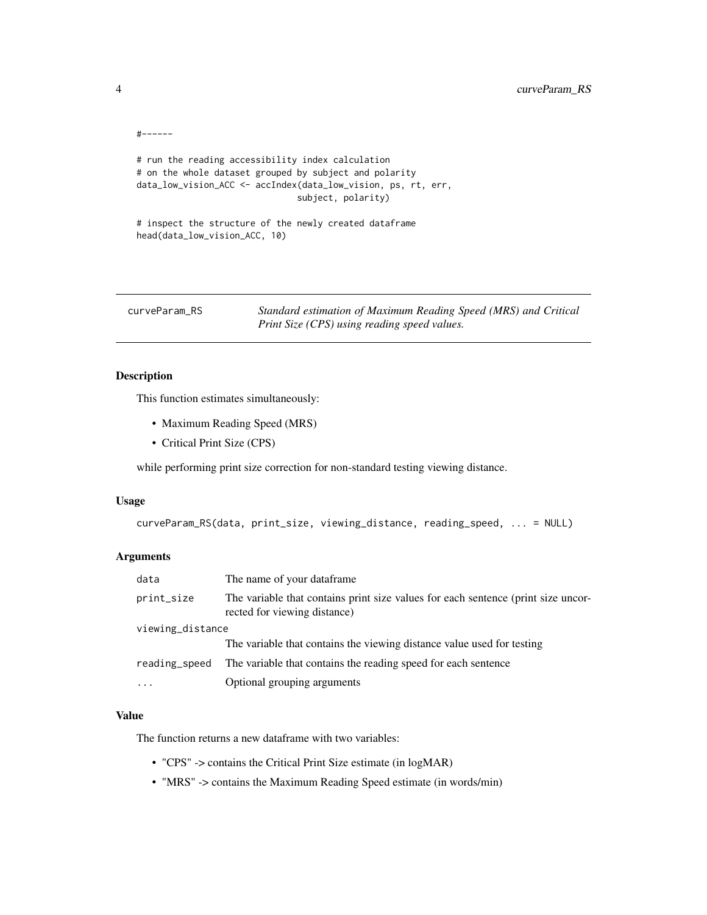```
#------
# run the reading accessibility index calculation
# on the whole dataset grouped by subject and polarity
data_low_vision_ACC <- accIndex(data_low_vision, ps, rt, err,
                               subject, polarity)
# inspect the structure of the newly created dataframe
head(data_low_vision_ACC, 10)
```
<span id="page-3-1"></span>curveParam\_RS *Standard estimation of Maximum Reading Speed (MRS) and Critical Print Size (CPS) using reading speed values.*

# Description

This function estimates simultaneously:

- Maximum Reading Speed (MRS)
- Critical Print Size (CPS)

while performing print size correction for non-standard testing viewing distance.

#### Usage

```
curveParam_RS(data, print_size, viewing_distance, reading_speed, ... = NULL)
```
# Arguments

| data             | The name of your dataframe.                                                                                       |  |
|------------------|-------------------------------------------------------------------------------------------------------------------|--|
| print_size       | The variable that contains print size values for each sentence (print size uncor-<br>rected for viewing distance) |  |
| viewing_distance |                                                                                                                   |  |
|                  | The variable that contains the viewing distance value used for testing                                            |  |
| reading_speed    | The variable that contains the reading speed for each sentence                                                    |  |
| $\cdots$         | Optional grouping arguments                                                                                       |  |

# Value

The function returns a new dataframe with two variables:

- "CPS" -> contains the Critical Print Size estimate (in logMAR)
- "MRS" -> contains the Maximum Reading Speed estimate (in words/min)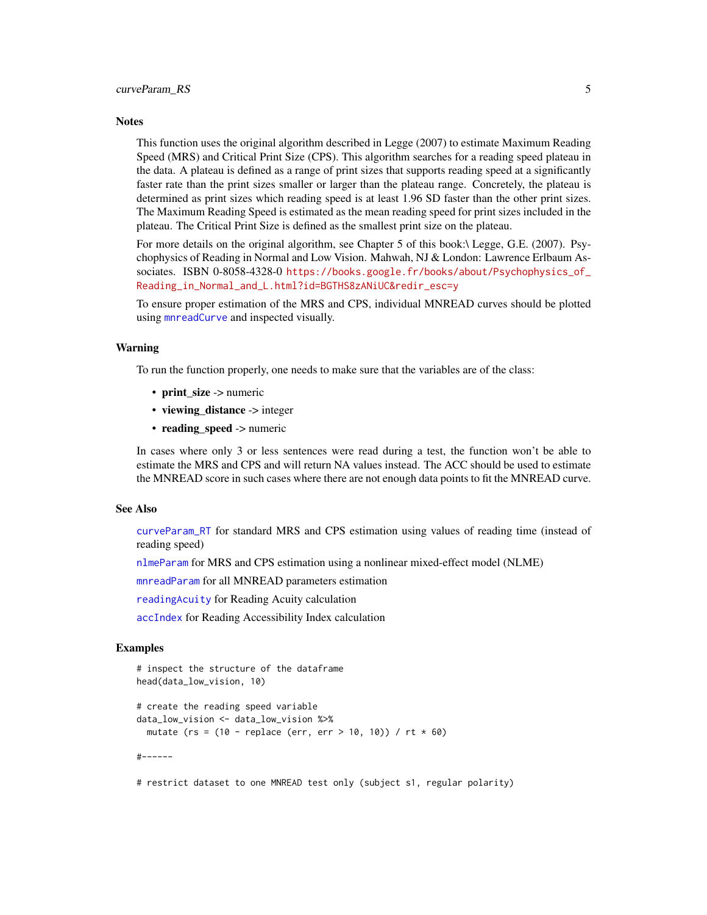#### <span id="page-4-0"></span>**Notes**

This function uses the original algorithm described in Legge (2007) to estimate Maximum Reading Speed (MRS) and Critical Print Size (CPS). This algorithm searches for a reading speed plateau in the data. A plateau is defined as a range of print sizes that supports reading speed at a significantly faster rate than the print sizes smaller or larger than the plateau range. Concretely, the plateau is determined as print sizes which reading speed is at least 1.96 SD faster than the other print sizes. The Maximum Reading Speed is estimated as the mean reading speed for print sizes included in the plateau. The Critical Print Size is defined as the smallest print size on the plateau.

For more details on the original algorithm, see Chapter 5 of this book:\ Legge, G.E. (2007). Psychophysics of Reading in Normal and Low Vision. Mahwah, NJ & London: Lawrence Erlbaum Associates. ISBN 0-8058-4328-0 [https://books.google.fr/books/about/Psychophysics\\_of\\_](https://books.google.fr/books/about/Psychophysics_of_Reading_in_Normal_and_L.html?id=BGTHS8zANiUC&redir_esc=y) [Reading\\_in\\_Normal\\_and\\_L.html?id=BGTHS8zANiUC&redir\\_esc=y](https://books.google.fr/books/about/Psychophysics_of_Reading_in_Normal_and_L.html?id=BGTHS8zANiUC&redir_esc=y)

To ensure proper estimation of the MRS and CPS, individual MNREAD curves should be plotted using [mnreadCurve](#page-10-1) and inspected visually.

#### Warning

To run the function properly, one needs to make sure that the variables are of the class:

- print\_size -> numeric
- viewing\_distance -> integer
- reading speed -> numeric

In cases where only 3 or less sentences were read during a test, the function won't be able to estimate the MRS and CPS and will return NA values instead. The ACC should be used to estimate the MNREAD score in such cases where there are not enough data points to fit the MNREAD curve.

#### See Also

[curveParam\\_RT](#page-5-1) for standard MRS and CPS estimation using values of reading time (instead of reading speed)

[nlmeParam](#page-22-1) for MRS and CPS estimation using a nonlinear mixed-effect model (NLME)

[mnreadParam](#page-13-1) for all MNREAD parameters estimation

[readingAcuity](#page-27-1) for Reading Acuity calculation

[accIndex](#page-1-1) for Reading Accessibility Index calculation

# Examples

```
# inspect the structure of the dataframe
head(data_low_vision, 10)
# create the reading speed variable
data_low_vision <- data_low_vision %>%
 mutate (rs = (10 - replace (err, err > 10, 10)) / rt * 60)
#------
```
# restrict dataset to one MNREAD test only (subject s1, regular polarity)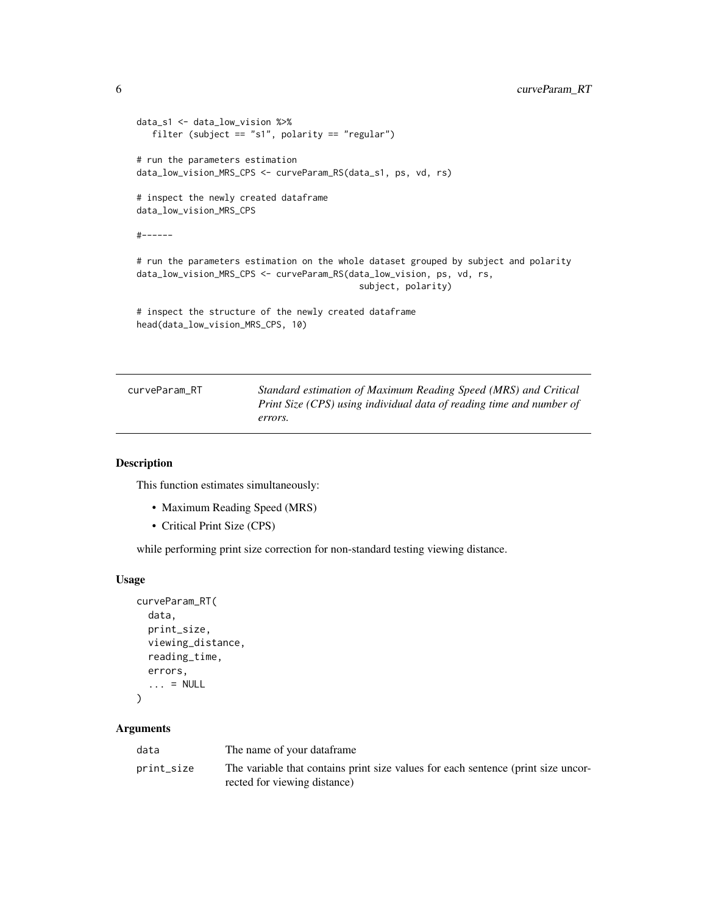```
data_s1 <- data_low_vision %>%
  filter (subject == "s1", polarity == "regular")
# run the parameters estimation
data_low_vision_MRS_CPS <- curveParam_RS(data_s1, ps, vd, rs)
# inspect the newly created dataframe
data_low_vision_MRS_CPS
#------
# run the parameters estimation on the whole dataset grouped by subject and polarity
data_low_vision_MRS_CPS <- curveParam_RS(data_low_vision, ps, vd, rs,
                                           subject, polarity)
# inspect the structure of the newly created dataframe
head(data_low_vision_MRS_CPS, 10)
```
<span id="page-5-1"></span>

| curveParam RT | Standard estimation of Maximum Reading Speed (MRS) and Critical      |
|---------------|----------------------------------------------------------------------|
|               | Print Size (CPS) using individual data of reading time and number of |
|               | errors.                                                              |

# Description

This function estimates simultaneously:

- Maximum Reading Speed (MRS)
- Critical Print Size (CPS)

while performing print size correction for non-standard testing viewing distance.

#### Usage

```
curveParam_RT(
  data,
  print_size,
  viewing_distance,
  reading_time,
  errors,
  \ldots = NULL
\lambda
```
#### Arguments

| data       | The name of your dataframe                                                                                        |
|------------|-------------------------------------------------------------------------------------------------------------------|
| print_size | The variable that contains print size values for each sentence (print size uncor-<br>rected for viewing distance) |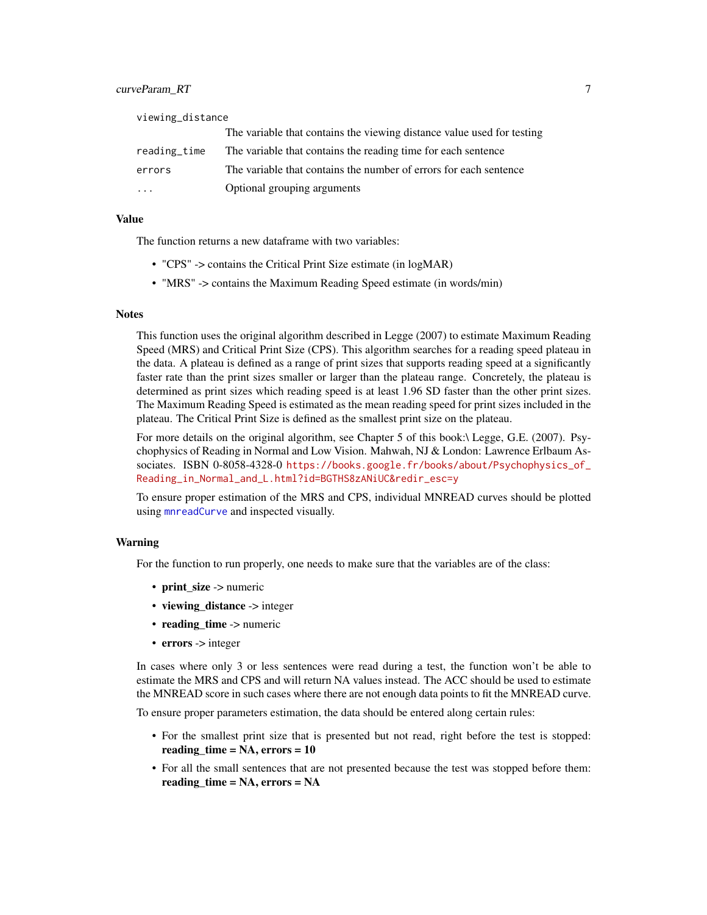<span id="page-6-0"></span>

| viewing_distance |                                                                        |
|------------------|------------------------------------------------------------------------|
|                  | The variable that contains the viewing distance value used for testing |
| reading_time     | The variable that contains the reading time for each sentence          |
| errors           | The variable that contains the number of errors for each sentence      |
|                  | Optional grouping arguments                                            |

#### Value

The function returns a new dataframe with two variables:

- "CPS" -> contains the Critical Print Size estimate (in logMAR)
- "MRS" -> contains the Maximum Reading Speed estimate (in words/min)

#### **Notes**

This function uses the original algorithm described in Legge (2007) to estimate Maximum Reading Speed (MRS) and Critical Print Size (CPS). This algorithm searches for a reading speed plateau in the data. A plateau is defined as a range of print sizes that supports reading speed at a significantly faster rate than the print sizes smaller or larger than the plateau range. Concretely, the plateau is determined as print sizes which reading speed is at least 1.96 SD faster than the other print sizes. The Maximum Reading Speed is estimated as the mean reading speed for print sizes included in the plateau. The Critical Print Size is defined as the smallest print size on the plateau.

For more details on the original algorithm, see Chapter 5 of this book:\ Legge, G.E. (2007). Psychophysics of Reading in Normal and Low Vision. Mahwah, NJ & London: Lawrence Erlbaum Associates. ISBN 0-8058-4328-0 [https://books.google.fr/books/about/Psychophysics\\_of\\_](https://books.google.fr/books/about/Psychophysics_of_Reading_in_Normal_and_L.html?id=BGTHS8zANiUC&redir_esc=y) [Reading\\_in\\_Normal\\_and\\_L.html?id=BGTHS8zANiUC&redir\\_esc=y](https://books.google.fr/books/about/Psychophysics_of_Reading_in_Normal_and_L.html?id=BGTHS8zANiUC&redir_esc=y)

To ensure proper estimation of the MRS and CPS, individual MNREAD curves should be plotted using [mnreadCurve](#page-10-1) and inspected visually.

#### Warning

For the function to run properly, one needs to make sure that the variables are of the class:

- print\_size -> numeric
- viewing distance -> integer
- $\cdot$  reading time  $\cdot$  numeric
- errors -> integer

In cases where only 3 or less sentences were read during a test, the function won't be able to estimate the MRS and CPS and will return NA values instead. The ACC should be used to estimate the MNREAD score in such cases where there are not enough data points to fit the MNREAD curve.

To ensure proper parameters estimation, the data should be entered along certain rules:

- For the smallest print size that is presented but not read, right before the test is stopped: reading\_time = NA, errors = 10
- For all the small sentences that are not presented because the test was stopped before them: reading\_time = NA, errors = NA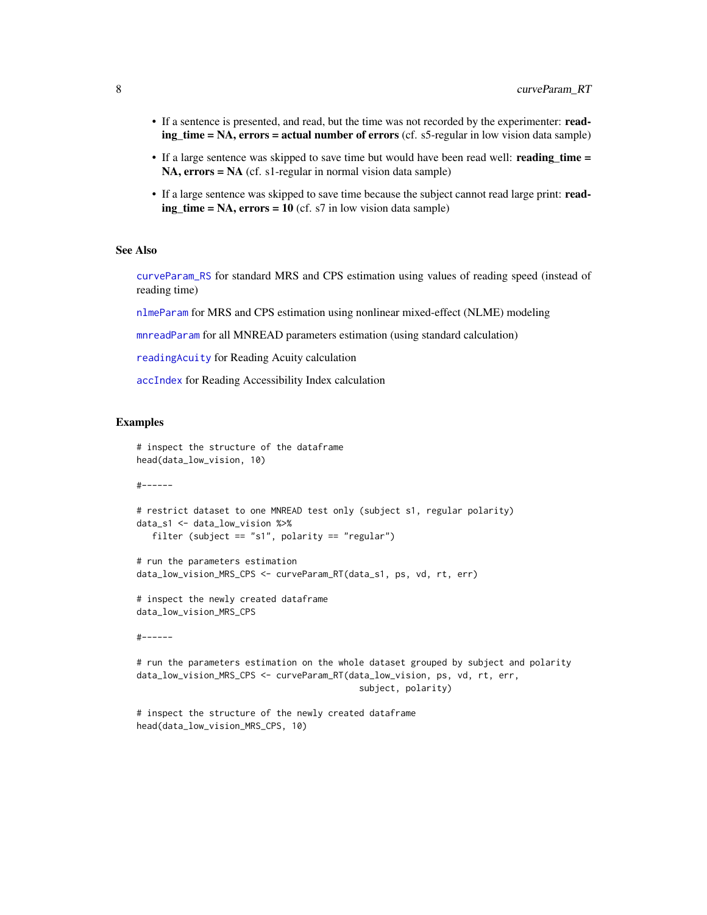- <span id="page-7-0"></span>• If a sentence is presented, and read, but the time was not recorded by the experimenter: reading time = NA, errors = actual number of errors (cf. s5-regular in low vision data sample)
- If a large sentence was skipped to save time but would have been read well: reading\_time = NA, errors = NA (cf. s1-regular in normal vision data sample)
- If a large sentence was skipped to save time because the subject cannot read large print: read $ing_time = NA$ ,  $errors = 10$  (cf. s7 in low vision data sample)

#### See Also

[curveParam\\_RS](#page-3-1) for standard MRS and CPS estimation using values of reading speed (instead of reading time)

[nlmeParam](#page-22-1) for MRS and CPS estimation using nonlinear mixed-effect (NLME) modeling

[mnreadParam](#page-13-1) for all MNREAD parameters estimation (using standard calculation)

[readingAcuity](#page-27-1) for Reading Acuity calculation

head(data\_low\_vision\_MRS\_CPS, 10)

[accIndex](#page-1-1) for Reading Accessibility Index calculation

#### Examples

```
# inspect the structure of the dataframe
head(data_low_vision, 10)
#------
# restrict dataset to one MNREAD test only (subject s1, regular polarity)
data_s1 <- data_low_vision %>%
  filter (subject == "s1", polarity == "regular")
# run the parameters estimation
data_low_vision_MRS_CPS <- curveParam_RT(data_s1, ps, vd, rt, err)
# inspect the newly created dataframe
data_low_vision_MRS_CPS
#------
# run the parameters estimation on the whole dataset grouped by subject and polarity
data_low_vision_MRS_CPS <- curveParam_RT(data_low_vision, ps, vd, rt, err,
                                           subject, polarity)
# inspect the structure of the newly created dataframe
```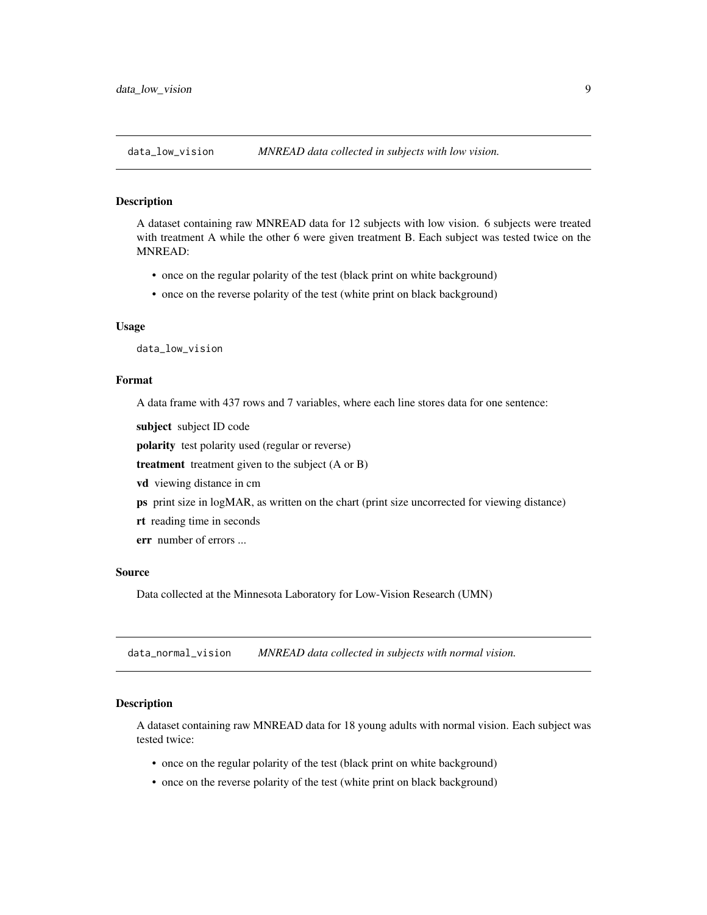<span id="page-8-0"></span>

#### Description

A dataset containing raw MNREAD data for 12 subjects with low vision. 6 subjects were treated with treatment A while the other 6 were given treatment B. Each subject was tested twice on the MNREAD:

- once on the regular polarity of the test (black print on white background)
- once on the reverse polarity of the test (white print on black background)

#### Usage

data\_low\_vision

#### Format

A data frame with 437 rows and 7 variables, where each line stores data for one sentence:

subject subject ID code

polarity test polarity used (regular or reverse)

treatment treatment given to the subject (A or B)

- vd viewing distance in cm
- ps print size in logMAR, as written on the chart (print size uncorrected for viewing distance)
- rt reading time in seconds
- err number of errors ...

#### Source

Data collected at the Minnesota Laboratory for Low-Vision Research (UMN)

data\_normal\_vision *MNREAD data collected in subjects with normal vision.*

#### Description

A dataset containing raw MNREAD data for 18 young adults with normal vision. Each subject was tested twice:

- once on the regular polarity of the test (black print on white background)
- once on the reverse polarity of the test (white print on black background)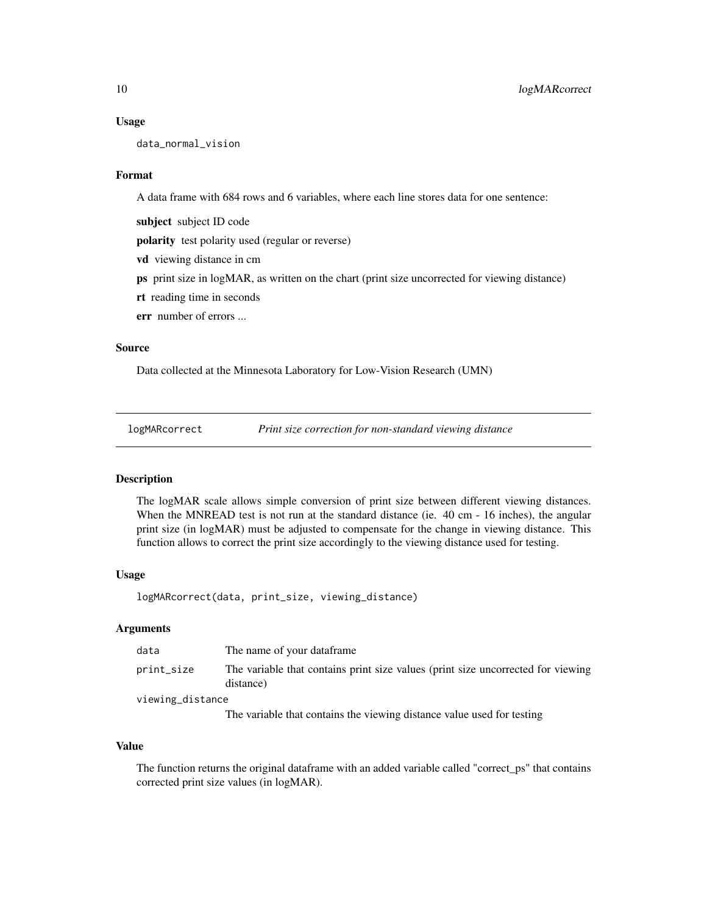#### <span id="page-9-0"></span>Usage

data\_normal\_vision

# Format

A data frame with 684 rows and 6 variables, where each line stores data for one sentence:

subject subject ID code

polarity test polarity used (regular or reverse)

vd viewing distance in cm

ps print size in logMAR, as written on the chart (print size uncorrected for viewing distance)

rt reading time in seconds

err number of errors ...

# Source

Data collected at the Minnesota Laboratory for Low-Vision Research (UMN)

logMARcorrect *Print size correction for non-standard viewing distance*

#### Description

The logMAR scale allows simple conversion of print size between different viewing distances. When the MNREAD test is not run at the standard distance (ie. 40 cm - 16 inches), the angular print size (in logMAR) must be adjusted to compensate for the change in viewing distance. This function allows to correct the print size accordingly to the viewing distance used for testing.

#### Usage

logMARcorrect(data, print\_size, viewing\_distance)

# Arguments

| data             | The name of your dataframe                                                                    |
|------------------|-----------------------------------------------------------------------------------------------|
| print_size       | The variable that contains print size values (print size uncorrected for viewing<br>distance) |
| viewing_distance |                                                                                               |

The variable that contains the viewing distance value used for testing

#### Value

The function returns the original dataframe with an added variable called "correct\_ps" that contains corrected print size values (in logMAR).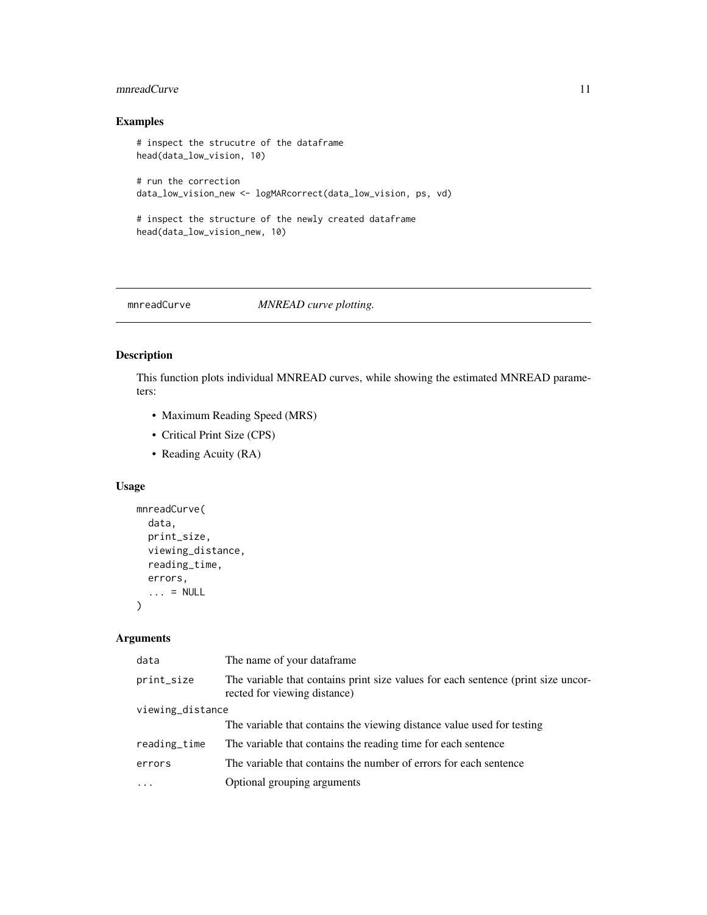# <span id="page-10-0"></span>mnreadCurve 11

# Examples

```
# inspect the strucutre of the dataframe
head(data_low_vision, 10)
# run the correction
data_low_vision_new <- logMARcorrect(data_low_vision, ps, vd)
# inspect the structure of the newly created dataframe
head(data_low_vision_new, 10)
```
<span id="page-10-1"></span>mnreadCurve *MNREAD curve plotting.*

# Description

This function plots individual MNREAD curves, while showing the estimated MNREAD parameters:

- Maximum Reading Speed (MRS)
- Critical Print Size (CPS)
- Reading Acuity (RA)

# Usage

```
mnreadCurve(
  data,
  print_size,
  viewing_distance,
  reading_time,
  errors,
  \ldots = NULL
\mathcal{L}
```
# Arguments

| data             | The name of your dataframe.                                                                                       |  |
|------------------|-------------------------------------------------------------------------------------------------------------------|--|
| print_size       | The variable that contains print size values for each sentence (print size uncor-<br>rected for viewing distance) |  |
| viewing_distance |                                                                                                                   |  |
|                  | The variable that contains the viewing distance value used for testing                                            |  |
| reading_time     | The variable that contains the reading time for each sentence                                                     |  |
| errors           | The variable that contains the number of errors for each sentence                                                 |  |
| $\ddots$         | Optional grouping arguments                                                                                       |  |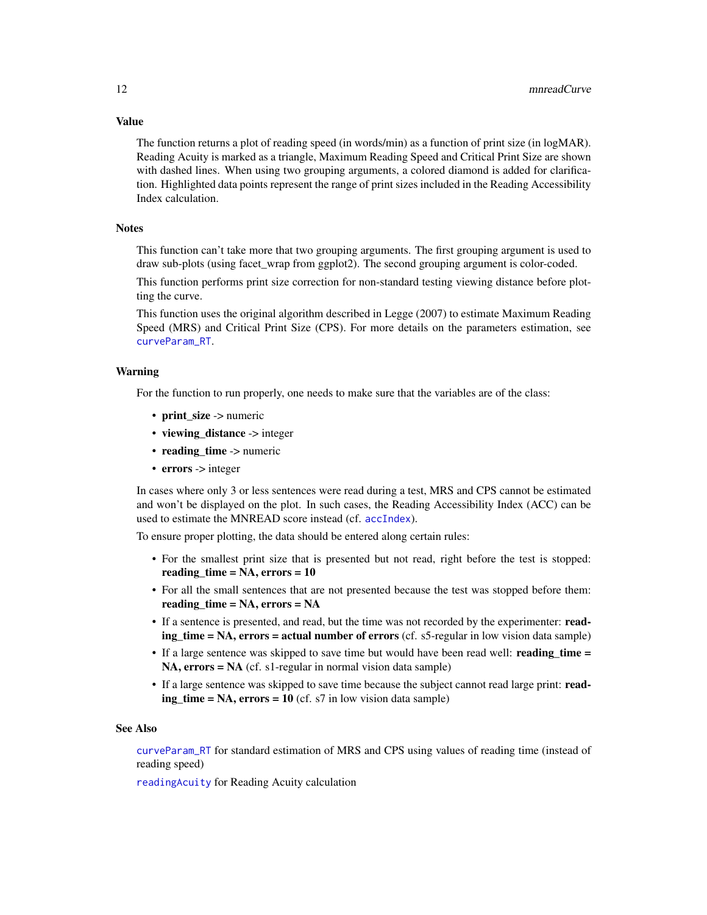The function returns a plot of reading speed (in words/min) as a function of print size (in logMAR). Reading Acuity is marked as a triangle, Maximum Reading Speed and Critical Print Size are shown with dashed lines. When using two grouping arguments, a colored diamond is added for clarification. Highlighted data points represent the range of print sizes included in the Reading Accessibility Index calculation.

#### **Notes**

This function can't take more that two grouping arguments. The first grouping argument is used to draw sub-plots (using facet\_wrap from ggplot2). The second grouping argument is color-coded.

This function performs print size correction for non-standard testing viewing distance before plotting the curve.

This function uses the original algorithm described in Legge (2007) to estimate Maximum Reading Speed (MRS) and Critical Print Size (CPS). For more details on the parameters estimation, see [curveParam\\_RT](#page-5-1).

#### Warning

For the function to run properly, one needs to make sure that the variables are of the class:

- print\_size -> numeric
- viewing\_distance -> integer
- reading\_time -> numeric
- errors -> integer

In cases where only 3 or less sentences were read during a test, MRS and CPS cannot be estimated and won't be displayed on the plot. In such cases, the Reading Accessibility Index (ACC) can be used to estimate the MNREAD score instead (cf. [accIndex](#page-1-1)).

To ensure proper plotting, the data should be entered along certain rules:

- For the smallest print size that is presented but not read, right before the test is stopped: reading\_time =  $NA$ , errors = 10
- For all the small sentences that are not presented because the test was stopped before them: reading\_time = NA, errors = NA
- If a sentence is presented, and read, but the time was not recorded by the experimenter: reading\_time = NA, errors = actual number of errors (cf. s5-regular in low vision data sample)
- If a large sentence was skipped to save time but would have been read well: reading\_time = NA, errors = NA (cf. s1-regular in normal vision data sample)
- If a large sentence was skipped to save time because the subject cannot read large print: read $ing_time = NA$ ,  $errors = 10$  (cf. s7 in low vision data sample)

#### See Also

[curveParam\\_RT](#page-5-1) for standard estimation of MRS and CPS using values of reading time (instead of reading speed)

[readingAcuity](#page-27-1) for Reading Acuity calculation

# <span id="page-11-0"></span>Value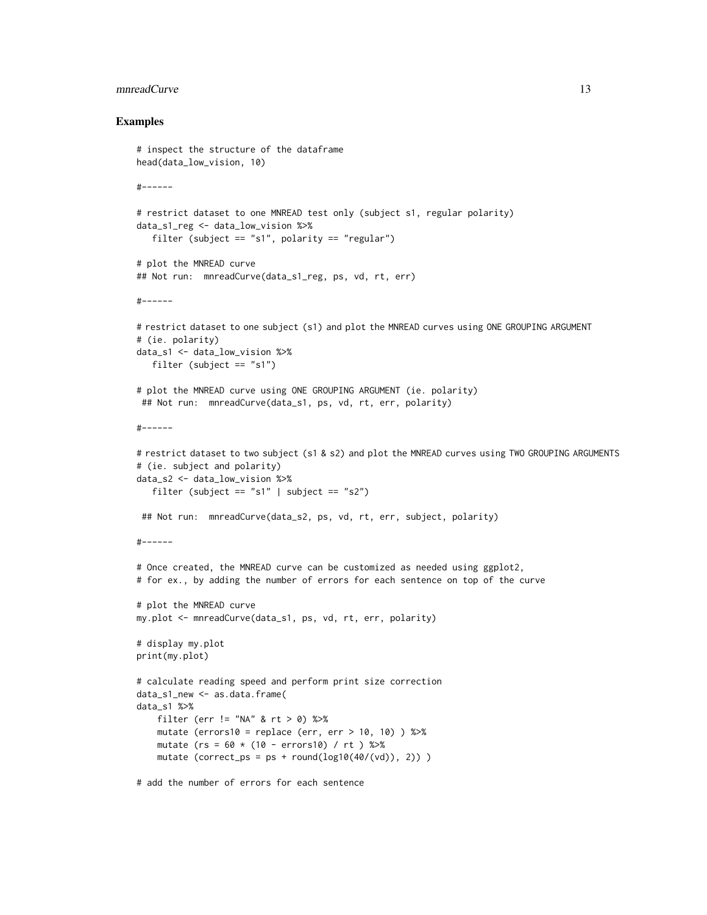#### mnreadCurve 13

#### Examples

```
# inspect the structure of the dataframe
head(data_low_vision, 10)
#------
# restrict dataset to one MNREAD test only (subject s1, regular polarity)
data_s1_reg <- data_low_vision %>%
   filter (subject == "s1", polarity == "regular")
# plot the MNREAD curve
## Not run: mnreadCurve(data_s1_reg, ps, vd, rt, err)
#------
# restrict dataset to one subject (s1) and plot the MNREAD curves using ONE GROUPING ARGUMENT
# (ie. polarity)
data_s1 <- data_low_vision %>%
  filter (subject == "s1")
# plot the MNREAD curve using ONE GROUPING ARGUMENT (ie. polarity)
 ## Not run: mnreadCurve(data_s1, ps, vd, rt, err, polarity)
#------
# restrict dataset to two subject (s1 & s2) and plot the MNREAD curves using TWO GROUPING ARGUMENTS
# (ie. subject and polarity)
data_s2 <- data_low_vision %>%
  filter (subject == "s1" | subject == "s2")## Not run: mnreadCurve(data_s2, ps, vd, rt, err, subject, polarity)
#------
# Once created, the MNREAD curve can be customized as needed using ggplot2,
# for ex., by adding the number of errors for each sentence on top of the curve
# plot the MNREAD curve
my.plot <- mnreadCurve(data_s1, ps, vd, rt, err, polarity)
# display my.plot
print(my.plot)
# calculate reading speed and perform print size correction
data_s1_new <- as.data.frame(
data_s1 %>%
   filter (err != "NA" & rt > 0) %>%
    mutate (errors10 = replace (err, err > 10, 10) \gg\mutate (rs = 60 * (10 - error10) / rt) %>%
   mutate (correct_ps = ps + round(log10(40/(vd)), 2)))
# add the number of errors for each sentence
```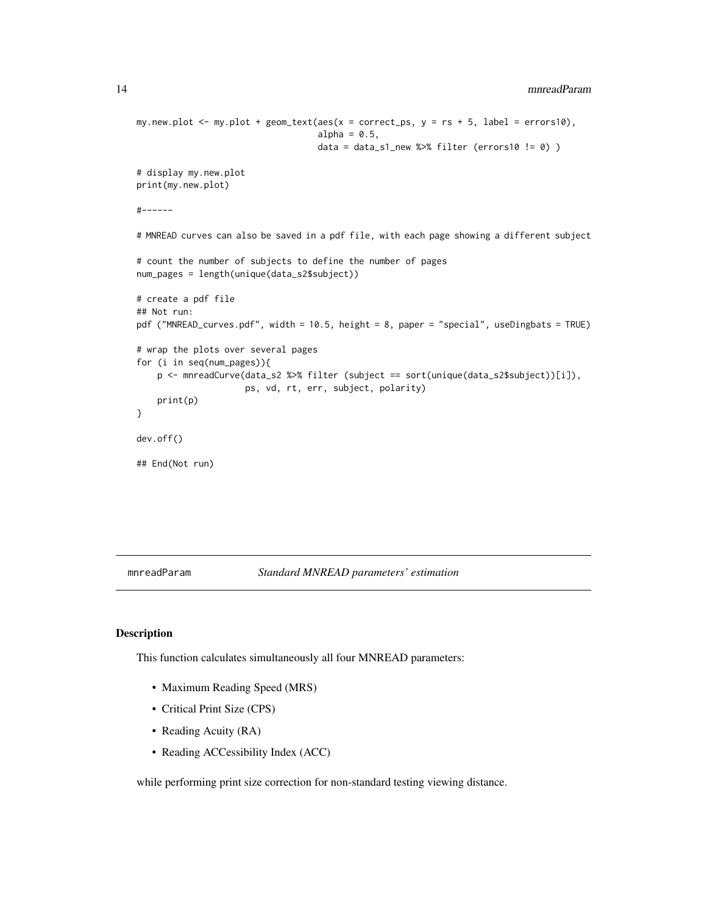```
14 mnreadParam
```

```
my.new.plot \leq - my.plot + geom_text(aes(x = correct_ps, y = rs + 5, label = errors10),
                                   alpha = 0.5,
                                   data = data_s1_new %>% filter (errors10 != 0) )
# display my.new.plot
print(my.new.plot)
#------
# MNREAD curves can also be saved in a pdf file, with each page showing a different subject
# count the number of subjects to define the number of pages
num_pages = length(unique(data_s2$subject))
# create a pdf file
## Not run:
pdf ("MNREAD_curves.pdf", width = 10.5, height = 8, paper = "special", useDingbats = TRUE)
# wrap the plots over several pages
for (i in seq(num_pages)){
   p <- mnreadCurve(data_s2 %>% filter (subject == sort(unique(data_s2$subject))[i]),
                     ps, vd, rt, err, subject, polarity)
   print(p)
}
dev.off()
## End(Not run)
```
<span id="page-13-1"></span>mnreadParam *Standard MNREAD parameters' estimation*

# Description

This function calculates simultaneously all four MNREAD parameters:

- Maximum Reading Speed (MRS)
- Critical Print Size (CPS)
- Reading Acuity (RA)
- Reading ACCessibility Index (ACC)

while performing print size correction for non-standard testing viewing distance.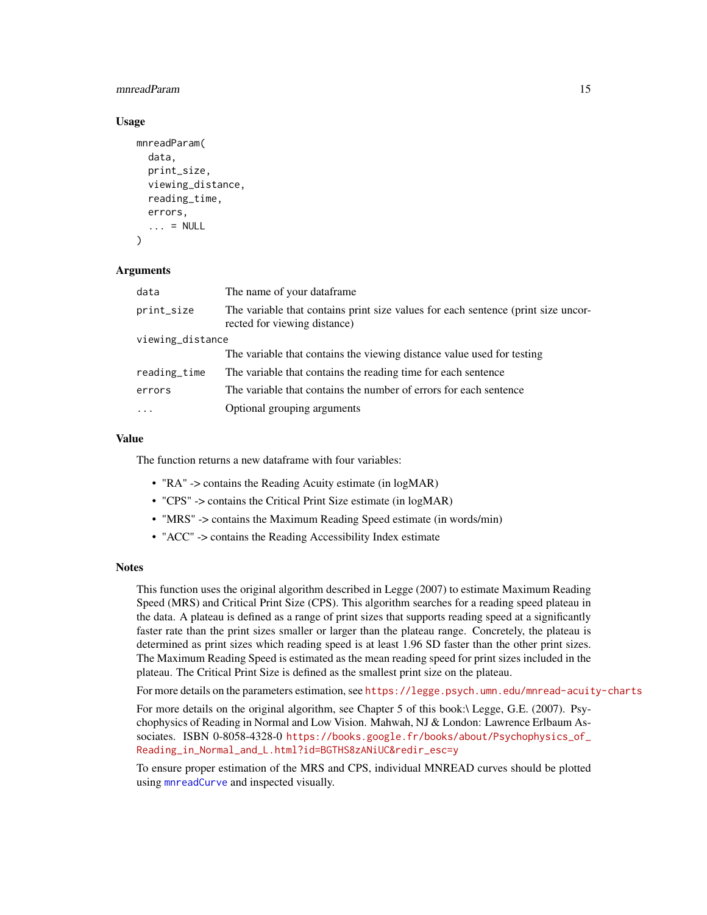## <span id="page-14-0"></span>mnreadParam 15

### Usage

```
mnreadParam(
  data,
  print_size,
  viewing_distance,
  reading_time,
  errors,
  \ldots = NULL
)
```
#### Arguments

| data             | The name of your dataframe.                                                                                       |  |  |  |
|------------------|-------------------------------------------------------------------------------------------------------------------|--|--|--|
| print_size       | The variable that contains print size values for each sentence (print size uncor-<br>rected for viewing distance) |  |  |  |
| viewing_distance |                                                                                                                   |  |  |  |
|                  | The variable that contains the viewing distance value used for testing                                            |  |  |  |
| reading_time     | The variable that contains the reading time for each sentence                                                     |  |  |  |
| errors           | The variable that contains the number of errors for each sentence                                                 |  |  |  |
|                  | Optional grouping arguments                                                                                       |  |  |  |

#### Value

The function returns a new dataframe with four variables:

- "RA" -> contains the Reading Acuity estimate (in logMAR)
- "CPS" -> contains the Critical Print Size estimate (in logMAR)
- "MRS" -> contains the Maximum Reading Speed estimate (in words/min)
- "ACC" -> contains the Reading Accessibility Index estimate

#### Notes

This function uses the original algorithm described in Legge (2007) to estimate Maximum Reading Speed (MRS) and Critical Print Size (CPS). This algorithm searches for a reading speed plateau in the data. A plateau is defined as a range of print sizes that supports reading speed at a significantly faster rate than the print sizes smaller or larger than the plateau range. Concretely, the plateau is determined as print sizes which reading speed is at least 1.96 SD faster than the other print sizes. The Maximum Reading Speed is estimated as the mean reading speed for print sizes included in the plateau. The Critical Print Size is defined as the smallest print size on the plateau.

For more details on the parameters estimation, see <https://legge.psych.umn.edu/mnread-acuity-charts>

For more details on the original algorithm, see Chapter 5 of this book:\ Legge, G.E. (2007). Psychophysics of Reading in Normal and Low Vision. Mahwah, NJ & London: Lawrence Erlbaum Associates. ISBN 0-8058-4328-0 [https://books.google.fr/books/about/Psychophysics\\_of\\_](https://books.google.fr/books/about/Psychophysics_of_Reading_in_Normal_and_L.html?id=BGTHS8zANiUC&redir_esc=y) [Reading\\_in\\_Normal\\_and\\_L.html?id=BGTHS8zANiUC&redir\\_esc=y](https://books.google.fr/books/about/Psychophysics_of_Reading_in_Normal_and_L.html?id=BGTHS8zANiUC&redir_esc=y)

To ensure proper estimation of the MRS and CPS, individual MNREAD curves should be plotted using [mnreadCurve](#page-10-1) and inspected visually.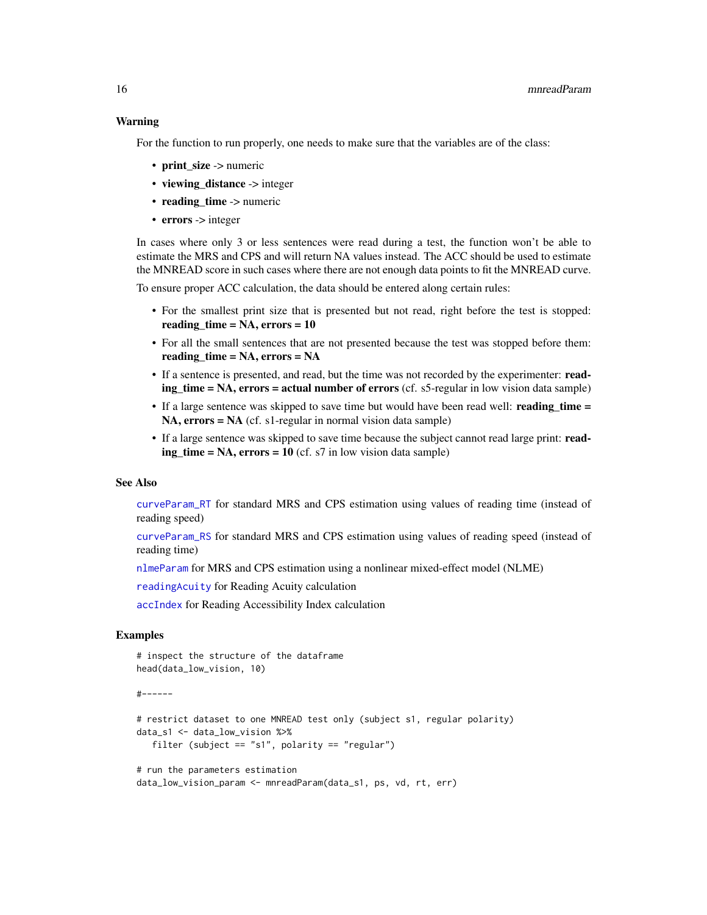# <span id="page-15-0"></span>Warning

For the function to run properly, one needs to make sure that the variables are of the class:

- print size -> numeric
- viewing\_distance -> integer
- $\cdot$  reading time  $\cdot$  numeric
- errors -> integer

In cases where only 3 or less sentences were read during a test, the function won't be able to estimate the MRS and CPS and will return NA values instead. The ACC should be used to estimate the MNREAD score in such cases where there are not enough data points to fit the MNREAD curve.

To ensure proper ACC calculation, the data should be entered along certain rules:

- For the smallest print size that is presented but not read, right before the test is stopped: reading\_time = NA, errors = 10
- For all the small sentences that are not presented because the test was stopped before them: reading\_time = NA, errors = NA
- If a sentence is presented, and read, but the time was not recorded by the experimenter: reading\_time = NA, errors = actual number of errors (cf. s5-regular in low vision data sample)
- If a large sentence was skipped to save time but would have been read well: reading\_time =  $NA$ ,  $errors = NA$  (cf. s1-regular in normal vision data sample)
- If a large sentence was skipped to save time because the subject cannot read large print: read $ing_time = NA$ ,  $errors = 10$  (cf. s7 in low vision data sample)

#### See Also

[curveParam\\_RT](#page-5-1) for standard MRS and CPS estimation using values of reading time (instead of reading speed)

[curveParam\\_RS](#page-3-1) for standard MRS and CPS estimation using values of reading speed (instead of reading time)

[nlmeParam](#page-22-1) for MRS and CPS estimation using a nonlinear mixed-effect model (NLME)

[readingAcuity](#page-27-1) for Reading Acuity calculation

[accIndex](#page-1-1) for Reading Accessibility Index calculation

# Examples

```
# inspect the structure of the dataframe
head(data_low_vision, 10)
```

```
#------
```

```
# restrict dataset to one MNREAD test only (subject s1, regular polarity)
data_s1 <- data_low_vision %>%
  filter (subject == "s1", polarity == "regular")
```

```
# run the parameters estimation
data_low_vision_param <- mnreadParam(data_s1, ps, vd, rt, err)
```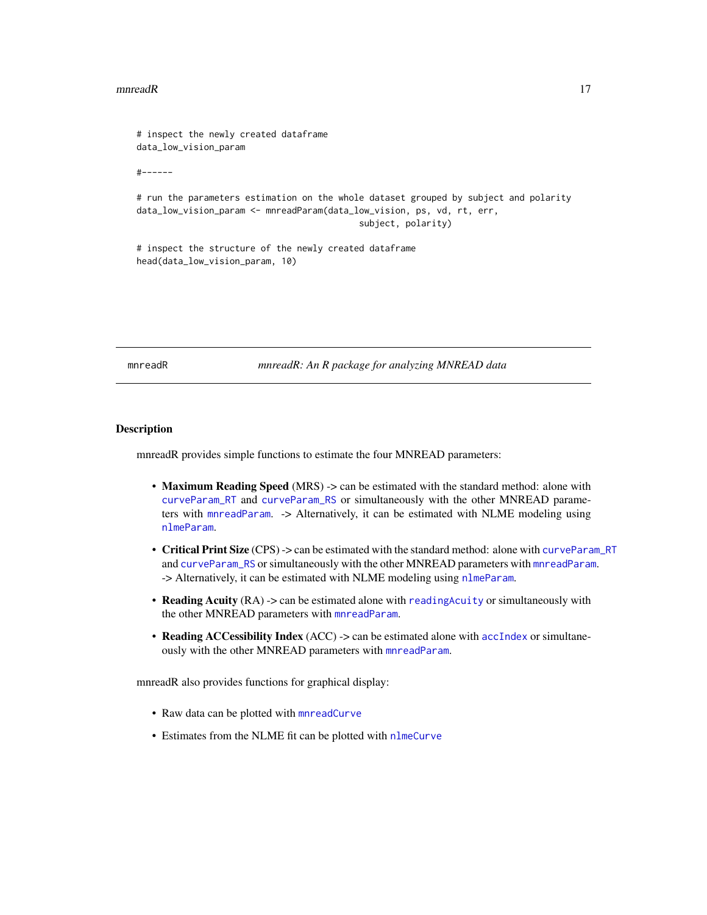#### <span id="page-16-0"></span> $m$ nreadR  $17$

# inspect the newly created dataframe data\_low\_vision\_param

#------

# run the parameters estimation on the whole dataset grouped by subject and polarity data\_low\_vision\_param <- mnreadParam(data\_low\_vision, ps, vd, rt, err, subject, polarity)

# inspect the structure of the newly created dataframe head(data\_low\_vision\_param, 10)

mnreadR *mnreadR: An R package for analyzing MNREAD data*

#### Description

mnreadR provides simple functions to estimate the four MNREAD parameters:

- Maximum Reading Speed (MRS) -> can be estimated with the standard method: alone with [curveParam\\_RT](#page-5-1) and [curveParam\\_RS](#page-3-1) or simultaneously with the other MNREAD parameters with [mnreadParam](#page-13-1). -> Alternatively, it can be estimated with NLME modeling using [nlmeParam](#page-22-1).
- Critical Print Size (CPS) -> can be estimated with the standard method: alone with [curveParam\\_RT](#page-5-1) and [curveParam\\_RS](#page-3-1) or simultaneously with the other MNREAD parameters with [mnreadParam](#page-13-1). -> Alternatively, it can be estimated with NLME modeling using [nlmeParam](#page-22-1).
- Reading Acuity (RA) -> can be estimated alone with [readingAcuity](#page-27-1) or simultaneously with the other MNREAD parameters with [mnreadParam](#page-13-1).
- Reading ACCessibility Index (ACC) -> can be estimated alone with [accIndex](#page-1-1) or simultaneously with the other MNREAD parameters with [mnreadParam](#page-13-1).

mnreadR also provides functions for graphical display:

- Raw data can be plotted with [mnreadCurve](#page-10-1)
- Estimates from the NLME fit can be plotted with [nlmeCurve](#page-17-1)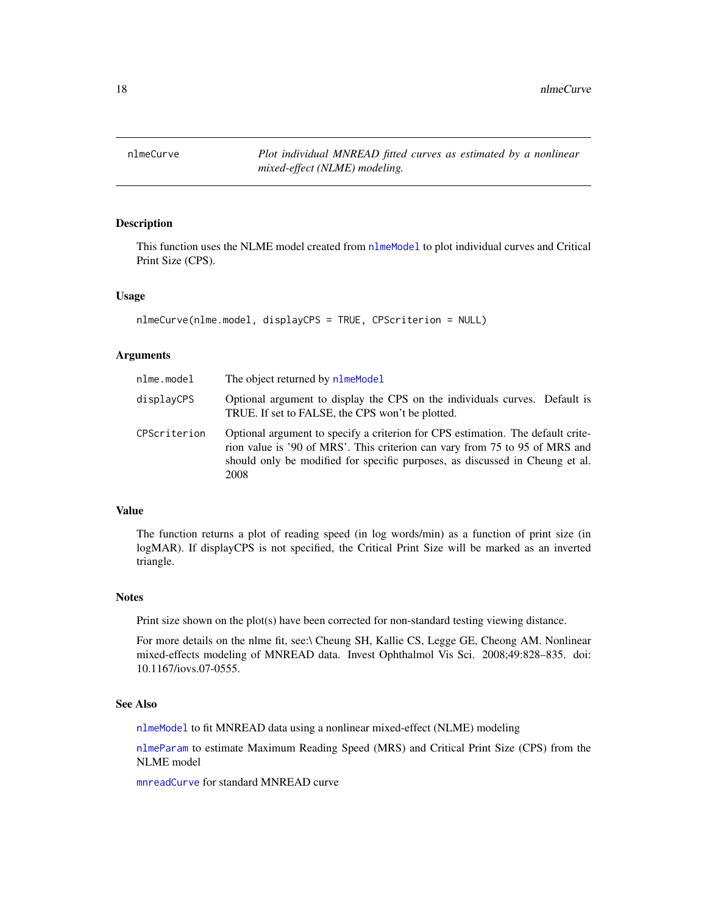<span id="page-17-1"></span><span id="page-17-0"></span>

# Description

This function uses the NLME model created from [nlmeModel](#page-20-1) to plot individual curves and Critical Print Size (CPS).

### Usage

```
nlmeCurve(nlme.model, displayCPS = TRUE, CPScriterion = NULL)
```
## Arguments

| nlme.model   | The object returned by nlmeModel                                                                                                                                                                                                                       |
|--------------|--------------------------------------------------------------------------------------------------------------------------------------------------------------------------------------------------------------------------------------------------------|
| displayCPS   | Optional argument to display the CPS on the individuals curves. Default is<br>TRUE. If set to FALSE, the CPS won't be plotted.                                                                                                                         |
| CPScriterion | Optional argument to specify a criterion for CPS estimation. The default crite-<br>rion value is '90 of MRS'. This criterion can vary from 75 to 95 of MRS and<br>should only be modified for specific purposes, as discussed in Cheung et al.<br>2008 |

# Value

The function returns a plot of reading speed (in log words/min) as a function of print size (in logMAR). If displayCPS is not specified, the Critical Print Size will be marked as an inverted triangle.

#### Notes

Print size shown on the plot(s) have been corrected for non-standard testing viewing distance.

For more details on the nlme fit, see:\ Cheung SH, Kallie CS, Legge GE, Cheong AM. Nonlinear mixed-effects modeling of MNREAD data. Invest Ophthalmol Vis Sci. 2008;49:828–835. doi: 10.1167/iovs.07-0555.

# See Also

[nlmeModel](#page-20-1) to fit MNREAD data using a nonlinear mixed-effect (NLME) modeling

[nlmeParam](#page-22-1) to estimate Maximum Reading Speed (MRS) and Critical Print Size (CPS) from the NLME model

[mnreadCurve](#page-10-1) for standard MNREAD curve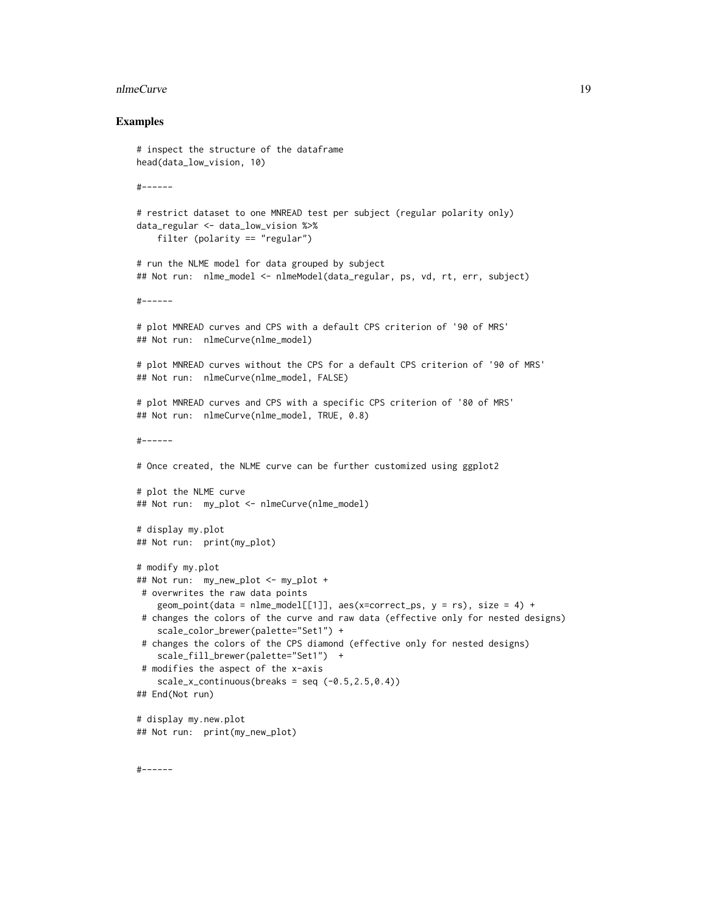#### nlmeCurve 19

#### Examples

```
# inspect the structure of the dataframe
head(data_low_vision, 10)
#------
# restrict dataset to one MNREAD test per subject (regular polarity only)
data_regular <- data_low_vision %>%
    filter (polarity == "regular")
# run the NLME model for data grouped by subject
## Not run: nlme_model <- nlmeModel(data_regular, ps, vd, rt, err, subject)
#------
# plot MNREAD curves and CPS with a default CPS criterion of '90 of MRS'
## Not run: nlmeCurve(nlme_model)
# plot MNREAD curves without the CPS for a default CPS criterion of '90 of MRS'
## Not run: nlmeCurve(nlme_model, FALSE)
# plot MNREAD curves and CPS with a specific CPS criterion of '80 of MRS'
## Not run: nlmeCurve(nlme_model, TRUE, 0.8)
#------
# Once created, the NLME curve can be further customized using ggplot2
# plot the NLME curve
## Not run: my_plot <- nlmeCurve(nlme_model)
# display my.plot
## Not run: print(my_plot)
# modify my.plot
## Not run: my_new_plot <- my_plot +
# overwrites the raw data points
    geom_point(data = nlme_model[[1]], aes(x=correct_ps, y = rs), size = 4) +
# changes the colors of the curve and raw data (effective only for nested designs)
   scale_color_brewer(palette="Set1") +
 # changes the colors of the CPS diamond (effective only for nested designs)
   scale_fill_brewer(palette="Set1") +
# modifies the aspect of the x-axis
    scale_x_{continuous(breaks = seq (-0.5, 2.5, 0.4))## End(Not run)
# display my.new.plot
## Not run: print(my_new_plot)
```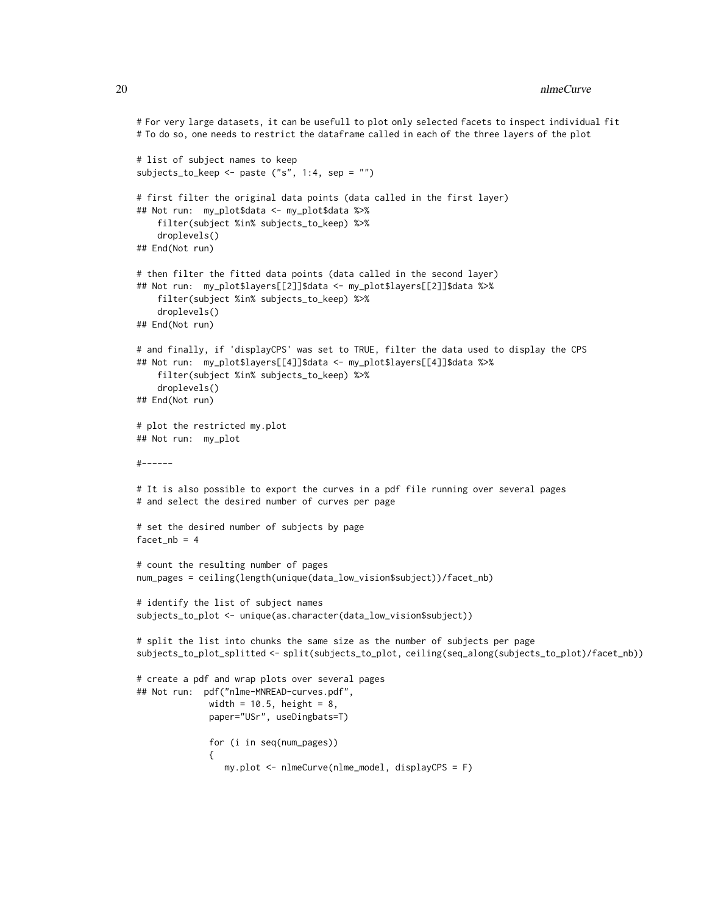```
# For very large datasets, it can be usefull to plot only selected facets to inspect individual fit
# To do so, one needs to restrict the dataframe called in each of the three layers of the plot
# list of subject names to keep
subjects_to_keep <- paste ("s", 1:4, sep = "")
# first filter the original data points (data called in the first layer)
## Not run: my_plot$data <- my_plot$data %>%
    filter(subject %in% subjects_to_keep) %>%
    droplevels()
## End(Not run)
# then filter the fitted data points (data called in the second layer)
## Not run: my_plot$layers[[2]]$data <- my_plot$layers[[2]]$data %>%
    filter(subject %in% subjects_to_keep) %>%
    droplevels()
## End(Not run)
# and finally, if 'displayCPS' was set to TRUE, filter the data used to display the CPS
## Not run: my_plot$layers[[4]]$data <- my_plot$layers[[4]]$data %>%
    filter(subject %in% subjects_to_keep) %>%
    droplevels()
## End(Not run)
# plot the restricted my.plot
## Not run: my_plot
#------
# It is also possible to export the curves in a pdf file running over several pages
# and select the desired number of curves per page
# set the desired number of subjects by page
facet_nb = 4
# count the resulting number of pages
num_pages = ceiling(length(unique(data_low_vision$subject))/facet_nb)
# identify the list of subject names
subjects_to_plot <- unique(as.character(data_low_vision$subject))
# split the list into chunks the same size as the number of subjects per page
subjects_to_plot_splitted <- split(subjects_to_plot, ceiling(seq_along(subjects_to_plot)/facet_nb))
# create a pdf and wrap plots over several pages
## Not run: pdf("nlme-MNREAD-curves.pdf",
             width = 10.5, height = 8,
              paper="USr", useDingbats=T)
              for (i in seq(num_pages))
              {
                 my.plot <- nlmeCurve(nlme_model, displayCPS = F)
```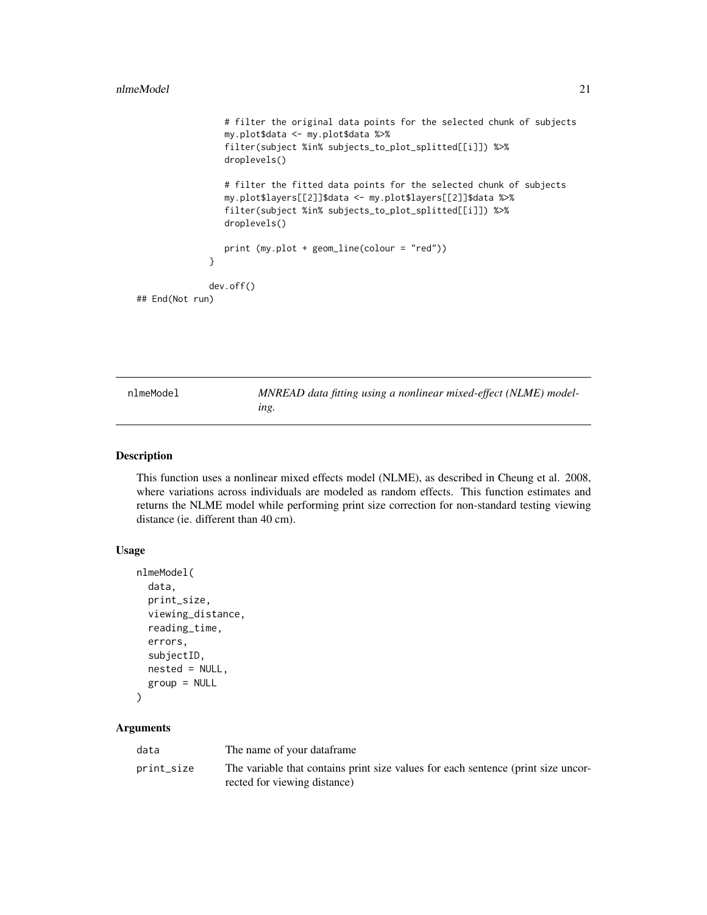```
# filter the original data points for the selected chunk of subjects
                 my.plot$data <- my.plot$data %>%
                 filter(subject %in% subjects_to_plot_splitted[[i]]) %>%
                 droplevels()
                 # filter the fitted data points for the selected chunk of subjects
                 my.plot$layers[[2]]$data <- my.plot$layers[[2]]$data %>%
                 filter(subject %in% subjects_to_plot_splitted[[i]]) %>%
                 droplevels()
                 print (my.plot + geom_line(colour = "red"))
              }
              dev.off()
## End(Not run)
```
<span id="page-20-1"></span>nlmeModel *MNREAD data fitting using a nonlinear mixed-effect (NLME) modeling.*

# Description

This function uses a nonlinear mixed effects model (NLME), as described in Cheung et al. 2008, where variations across individuals are modeled as random effects. This function estimates and returns the NLME model while performing print size correction for non-standard testing viewing distance (ie. different than 40 cm).

#### Usage

```
nlmeModel(
  data,
  print_size,
  viewing_distance,
  reading_time,
  errors,
  subjectID,
  nested = NULL,
  group = NULL
)
```
#### **Arguments**

| data       | The name of your dataframe                                                                                        |
|------------|-------------------------------------------------------------------------------------------------------------------|
| print_size | The variable that contains print size values for each sentence (print size uncor-<br>rected for viewing distance) |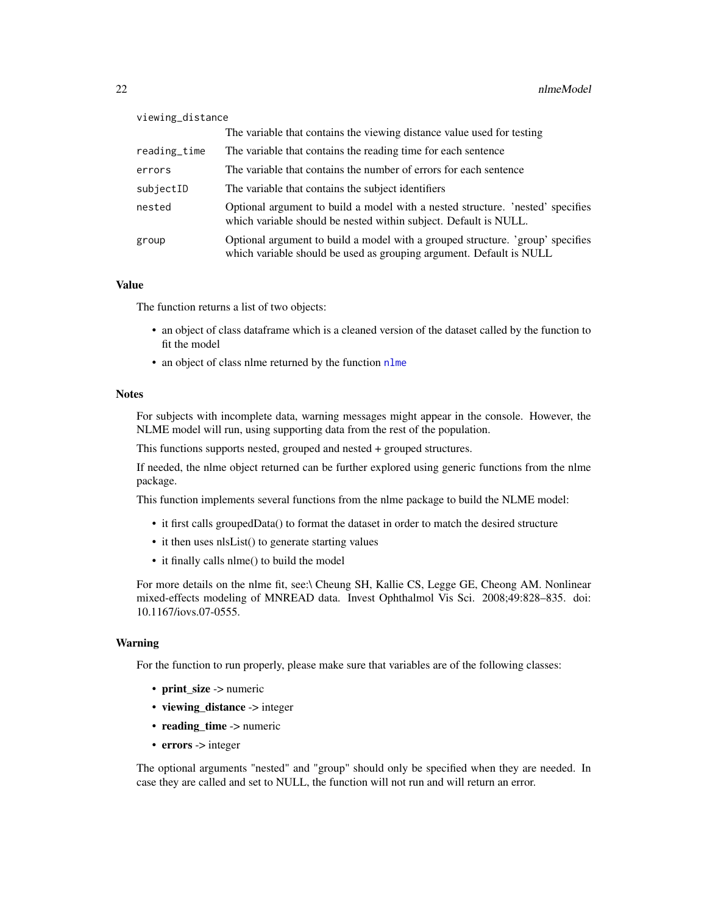<span id="page-21-0"></span>

| viewing_distance |                                                                                                                                                       |  |
|------------------|-------------------------------------------------------------------------------------------------------------------------------------------------------|--|
|                  | The variable that contains the viewing distance value used for testing                                                                                |  |
| reading_time     | The variable that contains the reading time for each sentence                                                                                         |  |
| errors           | The variable that contains the number of errors for each sentence                                                                                     |  |
| subjectID        | The variable that contains the subject identifiers                                                                                                    |  |
| nested           | Optional argument to build a model with a nested structure. 'nested' specifies<br>which variable should be nested within subject. Default is NULL.    |  |
| group            | Optional argument to build a model with a grouped structure. 'group' specifies<br>which variable should be used as grouping argument. Default is NULL |  |

# Value

The function returns a list of two objects:

- an object of class dataframe which is a cleaned version of the dataset called by the function to fit the model
- an object of class [nlme](#page-0-0) returned by the function nlme

# **Notes**

For subjects with incomplete data, warning messages might appear in the console. However, the NLME model will run, using supporting data from the rest of the population.

This functions supports nested, grouped and nested + grouped structures.

If needed, the nlme object returned can be further explored using generic functions from the nlme package.

This function implements several functions from the nlme package to build the NLME model:

- it first calls groupedData() to format the dataset in order to match the desired structure
- it then uses nlsList() to generate starting values
- it finally calls nlme() to build the model

For more details on the nlme fit, see:\ Cheung SH, Kallie CS, Legge GE, Cheong AM. Nonlinear mixed-effects modeling of MNREAD data. Invest Ophthalmol Vis Sci. 2008;49:828–835. doi: 10.1167/iovs.07-0555.

#### Warning

For the function to run properly, please make sure that variables are of the following classes:

- print\_size -> numeric
- viewing distance -> integer
- $\cdot$  reading time -> numeric
- errors -> integer

The optional arguments "nested" and "group" should only be specified when they are needed. In case they are called and set to NULL, the function will not run and will return an error.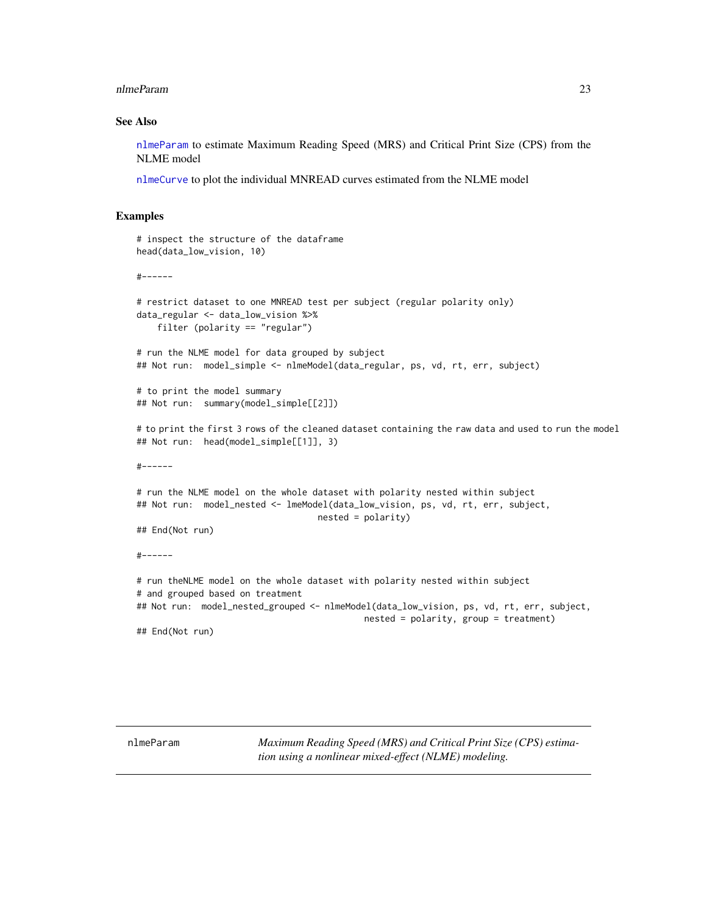#### <span id="page-22-0"></span>nlmeParam 23

#### See Also

[nlmeParam](#page-22-1) to estimate Maximum Reading Speed (MRS) and Critical Print Size (CPS) from the NLME model

[nlmeCurve](#page-17-1) to plot the individual MNREAD curves estimated from the NLME model

### Examples

```
# inspect the structure of the dataframe
head(data_low_vision, 10)
#------
# restrict dataset to one MNREAD test per subject (regular polarity only)
data_regular <- data_low_vision %>%
    filter (polarity == "regular")
# run the NLME model for data grouped by subject
## Not run: model_simple <- nlmeModel(data_regular, ps, vd, rt, err, subject)
# to print the model summary
## Not run: summary(model_simple[[2]])
# to print the first 3 rows of the cleaned dataset containing the raw data and used to run the model
## Not run: head(model_simple[[1]], 3)
#------
# run the NLME model on the whole dataset with polarity nested within subject
## Not run: model_nested <- lmeModel(data_low_vision, ps, vd, rt, err, subject,
                                   nested = polarity)
## End(Not run)
#------
# run theNLME model on the whole dataset with polarity nested within subject
# and grouped based on treatment
## Not run: model_nested_grouped <- nlmeModel(data_low_vision, ps, vd, rt, err, subject,
                                            nested = polarity, group = treatment)
## End(Not run)
```
<span id="page-22-1"></span>nlmeParam *Maximum Reading Speed (MRS) and Critical Print Size (CPS) estimation using a nonlinear mixed-effect (NLME) modeling.*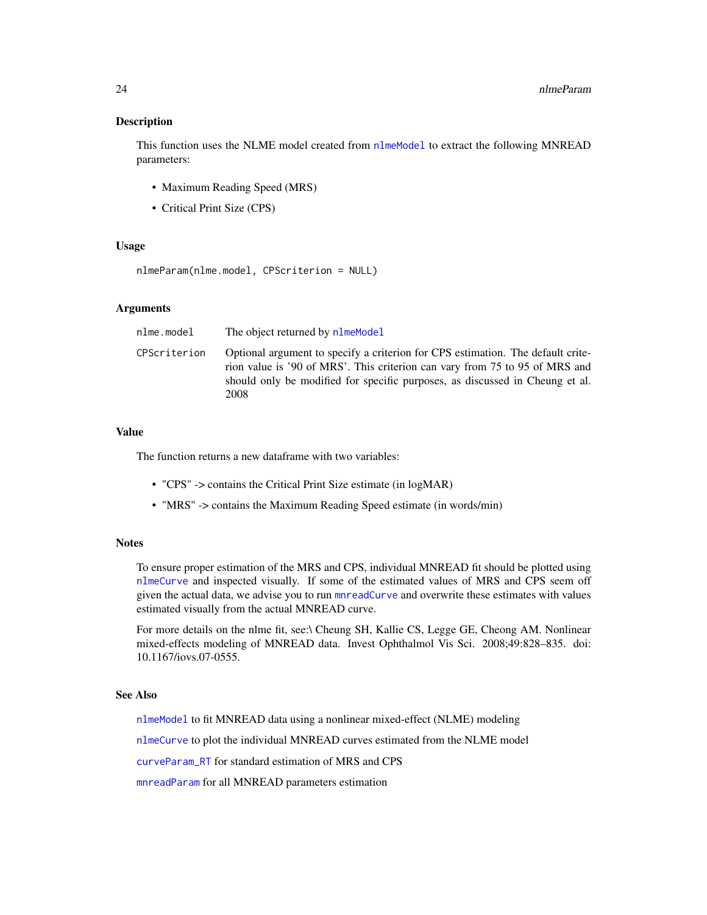# <span id="page-23-0"></span>**Description**

This function uses the NLME model created from [nlmeModel](#page-20-1) to extract the following MNREAD parameters:

- Maximum Reading Speed (MRS)
- Critical Print Size (CPS)

# Usage

```
nlmeParam(nlme.model, CPScriterion = NULL)
```
# Arguments

| nlme.model   | The object returned by nlmeModel                                                                                                                                                                                                                       |
|--------------|--------------------------------------------------------------------------------------------------------------------------------------------------------------------------------------------------------------------------------------------------------|
| CPScriterion | Optional argument to specify a criterion for CPS estimation. The default crite-<br>rion value is '90 of MRS'. This criterion can vary from 75 to 95 of MRS and<br>should only be modified for specific purposes, as discussed in Cheung et al.<br>2008 |

# Value

The function returns a new dataframe with two variables:

- "CPS" -> contains the Critical Print Size estimate (in logMAR)
- "MRS" -> contains the Maximum Reading Speed estimate (in words/min)

# **Notes**

To ensure proper estimation of the MRS and CPS, individual MNREAD fit should be plotted using [nlmeCurve](#page-17-1) and inspected visually. If some of the estimated values of MRS and CPS seem off given the actual data, we advise you to run [mnreadCurve](#page-10-1) and overwrite these estimates with values estimated visually from the actual MNREAD curve.

For more details on the nlme fit, see:\ Cheung SH, Kallie CS, Legge GE, Cheong AM. Nonlinear mixed-effects modeling of MNREAD data. Invest Ophthalmol Vis Sci. 2008;49:828–835. doi: 10.1167/iovs.07-0555.

#### See Also

[nlmeModel](#page-20-1) to fit MNREAD data using a nonlinear mixed-effect (NLME) modeling

[nlmeCurve](#page-17-1) to plot the individual MNREAD curves estimated from the NLME model

[curveParam\\_RT](#page-5-1) for standard estimation of MRS and CPS

[mnreadParam](#page-13-1) for all MNREAD parameters estimation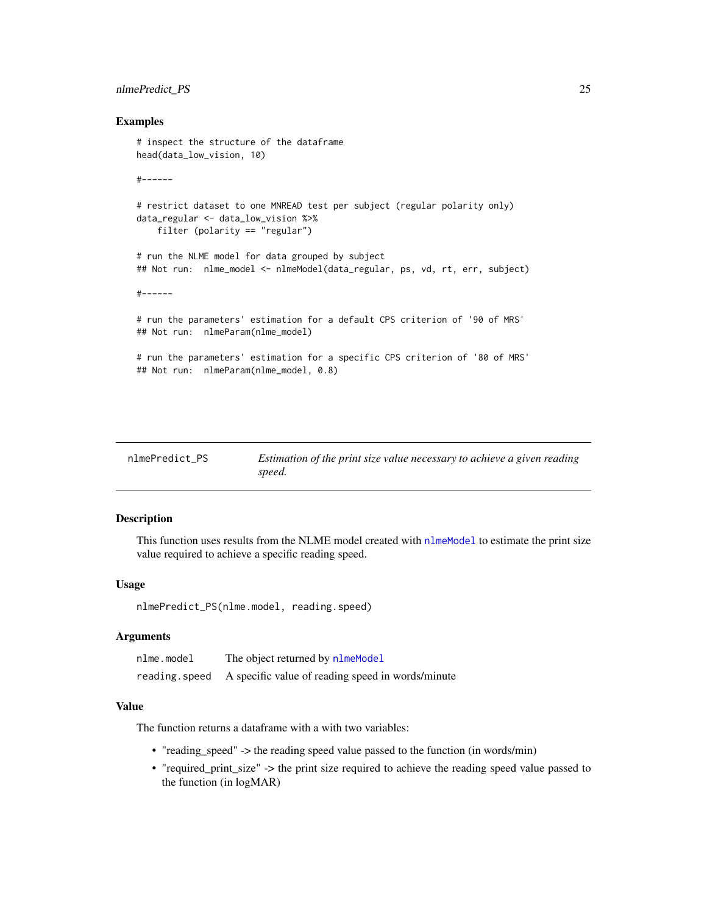# <span id="page-24-0"></span>nlmePredict\_PS 25

# Examples

```
# inspect the structure of the dataframe
head(data_low_vision, 10)
#------
# restrict dataset to one MNREAD test per subject (regular polarity only)
data_regular <- data_low_vision %>%
   filter (polarity == "regular")
# run the NLME model for data grouped by subject
## Not run: nlme_model <- nlmeModel(data_regular, ps, vd, rt, err, subject)
#------
# run the parameters' estimation for a default CPS criterion of '90 of MRS'
## Not run: nlmeParam(nlme_model)
# run the parameters' estimation for a specific CPS criterion of '80 of MRS'
## Not run: nlmeParam(nlme_model, 0.8)
```

| nlmePredict PS | Estimation of the print size value necessary to achieve a given reading |
|----------------|-------------------------------------------------------------------------|
|                | speed.                                                                  |

# Description

This function uses results from the NLME model created with [nlmeModel](#page-20-1) to estimate the print size value required to achieve a specific reading speed.

#### Usage

```
nlmePredict_PS(nlme.model, reading.speed)
```
# **Arguments**

| nlme.model | The object returned by nlmeModel                                 |
|------------|------------------------------------------------------------------|
|            | reading. speed A specific value of reading speed in words/minute |

# Value

The function returns a dataframe with a with two variables:

- "reading\_speed" -> the reading speed value passed to the function (in words/min)
- "required\_print\_size" -> the print size required to achieve the reading speed value passed to the function (in logMAR)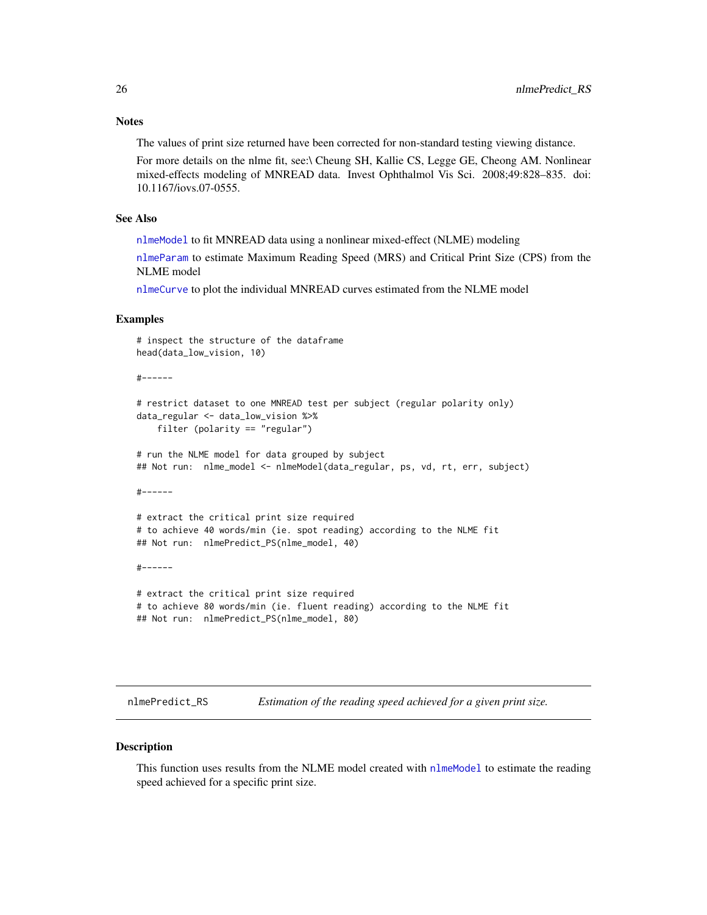#### <span id="page-25-0"></span>**Notes**

The values of print size returned have been corrected for non-standard testing viewing distance.

For more details on the nlme fit, see:\ Cheung SH, Kallie CS, Legge GE, Cheong AM. Nonlinear mixed-effects modeling of MNREAD data. Invest Ophthalmol Vis Sci. 2008;49:828–835. doi: 10.1167/iovs.07-0555.

# See Also

[nlmeModel](#page-20-1) to fit MNREAD data using a nonlinear mixed-effect (NLME) modeling

[nlmeParam](#page-22-1) to estimate Maximum Reading Speed (MRS) and Critical Print Size (CPS) from the NLME model

[nlmeCurve](#page-17-1) to plot the individual MNREAD curves estimated from the NLME model

#### Examples

```
# inspect the structure of the dataframe
head(data_low_vision, 10)
#------
# restrict dataset to one MNREAD test per subject (regular polarity only)
data_regular <- data_low_vision %>%
   filter (polarity == "regular")
# run the NLME model for data grouped by subject
## Not run: nlme_model <- nlmeModel(data_regular, ps, vd, rt, err, subject)
#------
# extract the critical print size required
# to achieve 40 words/min (ie. spot reading) according to the NLME fit
## Not run: nlmePredict_PS(nlme_model, 40)
#------
```

```
# extract the critical print size required
# to achieve 80 words/min (ie. fluent reading) according to the NLME fit
## Not run: nlmePredict_PS(nlme_model, 80)
```
nlmePredict\_RS *Estimation of the reading speed achieved for a given print size.*

#### **Description**

This function uses results from the NLME model created with [nlmeModel](#page-20-1) to estimate the reading speed achieved for a specific print size.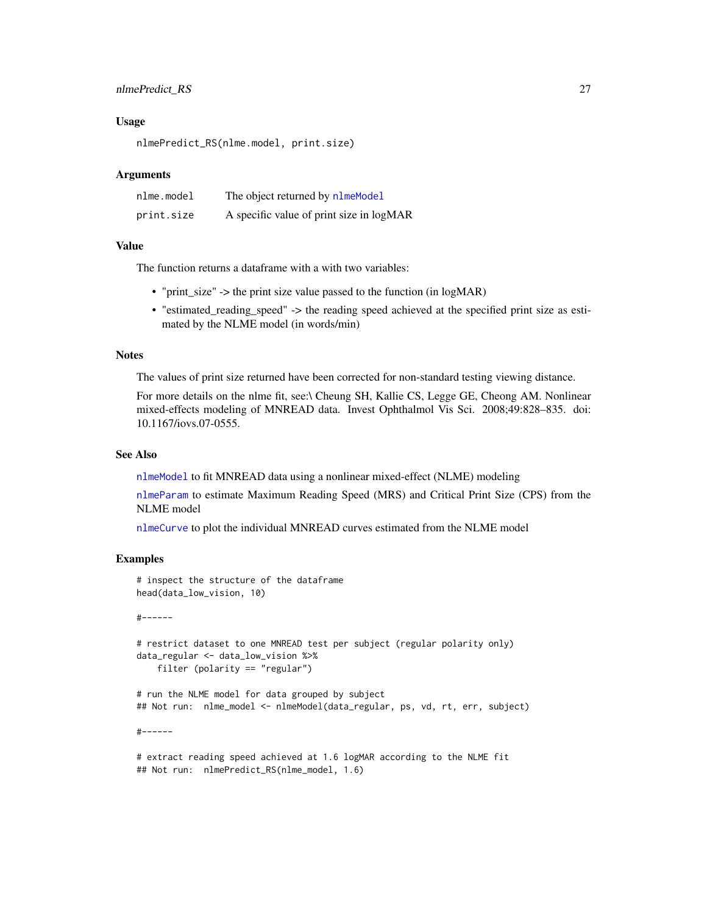# <span id="page-26-0"></span>nlmePredict\_RS 27

#### Usage

nlmePredict\_RS(nlme.model, print.size)

### Arguments

| nlme.model | The object returned by nlmeModel         |
|------------|------------------------------------------|
| print.size | A specific value of print size in logMAR |

#### Value

The function returns a dataframe with a with two variables:

- "print\_size" -> the print size value passed to the function (in logMAR)
- "estimated\_reading\_speed" -> the reading speed achieved at the specified print size as estimated by the NLME model (in words/min)

# **Notes**

The values of print size returned have been corrected for non-standard testing viewing distance.

For more details on the nlme fit, see:\ Cheung SH, Kallie CS, Legge GE, Cheong AM. Nonlinear mixed-effects modeling of MNREAD data. Invest Ophthalmol Vis Sci. 2008;49:828–835. doi: 10.1167/iovs.07-0555.

# See Also

[nlmeModel](#page-20-1) to fit MNREAD data using a nonlinear mixed-effect (NLME) modeling

[nlmeParam](#page-22-1) to estimate Maximum Reading Speed (MRS) and Critical Print Size (CPS) from the NLME model

[nlmeCurve](#page-17-1) to plot the individual MNREAD curves estimated from the NLME model

# Examples

# inspect the structure of the dataframe head(data\_low\_vision, 10)

#------

```
# restrict dataset to one MNREAD test per subject (regular polarity only)
data_regular <- data_low_vision %>%
    filter (polarity == "regular")
```
# run the NLME model for data grouped by subject ## Not run: nlme\_model <- nlmeModel(data\_regular, ps, vd, rt, err, subject)

#------

```
# extract reading speed achieved at 1.6 logMAR according to the NLME fit
## Not run: nlmePredict_RS(nlme_model, 1.6)
```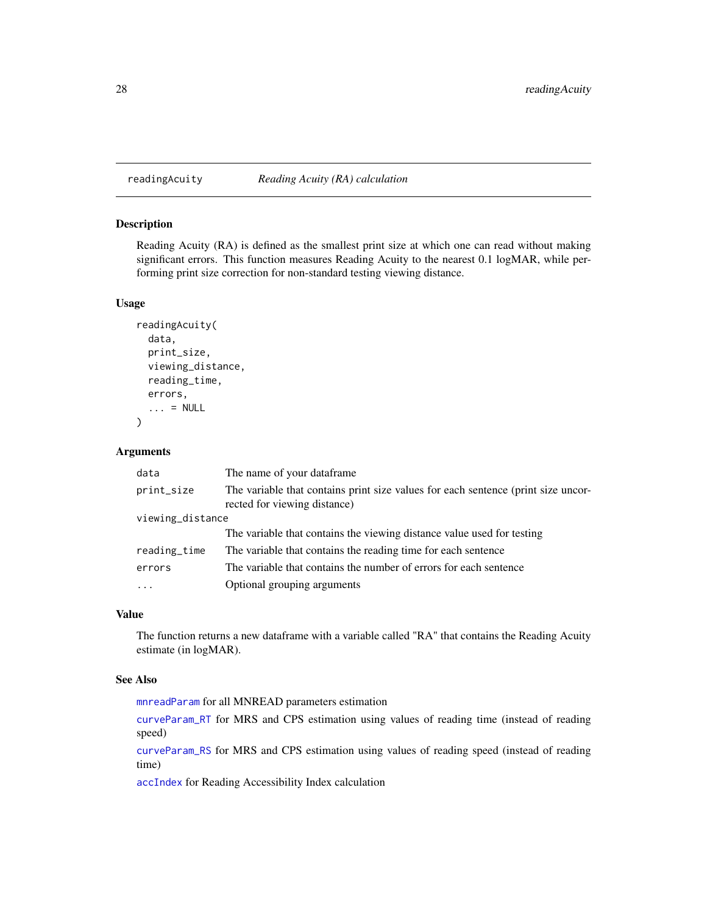# <span id="page-27-1"></span><span id="page-27-0"></span>readingAcuity *Reading Acuity (RA) calculation*

# Description

Reading Acuity (RA) is defined as the smallest print size at which one can read without making significant errors. This function measures Reading Acuity to the nearest 0.1 logMAR, while performing print size correction for non-standard testing viewing distance.

### Usage

```
readingAcuity(
  data,
 print_size,
  viewing_distance,
  reading_time,
 errors,
  \ldots = NULL
)
```
# Arguments

| data             | The name of your dataframe.                                                                                       |
|------------------|-------------------------------------------------------------------------------------------------------------------|
| print_size       | The variable that contains print size values for each sentence (print size uncor-<br>rected for viewing distance) |
| viewing_distance |                                                                                                                   |
|                  | The variable that contains the viewing distance value used for testing                                            |
| reading_time     | The variable that contains the reading time for each sentence                                                     |
| errors           | The variable that contains the number of errors for each sentence                                                 |
| $\ddots$         | Optional grouping arguments                                                                                       |

# Value

The function returns a new dataframe with a variable called "RA" that contains the Reading Acuity estimate (in logMAR).

# See Also

[mnreadParam](#page-13-1) for all MNREAD parameters estimation

[curveParam\\_RT](#page-5-1) for MRS and CPS estimation using values of reading time (instead of reading speed)

[curveParam\\_RS](#page-3-1) for MRS and CPS estimation using values of reading speed (instead of reading time)

[accIndex](#page-1-1) for Reading Accessibility Index calculation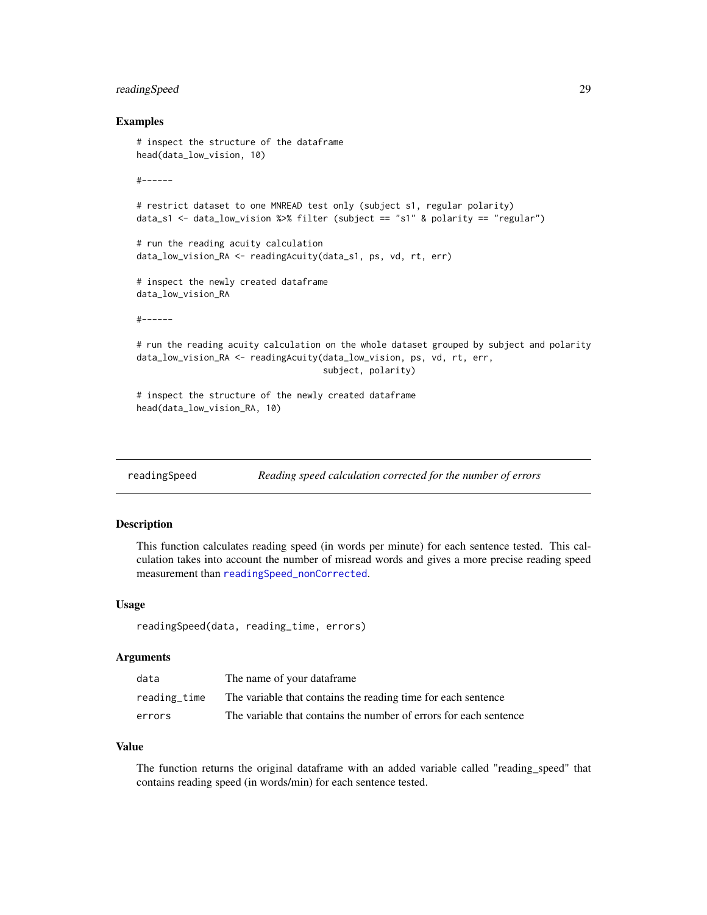# <span id="page-28-0"></span>readingSpeed 29

### Examples

```
# inspect the structure of the dataframe
head(data_low_vision, 10)
#------
# restrict dataset to one MNREAD test only (subject s1, regular polarity)
data_s1 <- data_low_vision %>% filter (subject == "s1" & polarity == "regular")
# run the reading acuity calculation
data_low_vision_RA <- readingAcuity(data_s1, ps, vd, rt, err)
# inspect the newly created dataframe
data_low_vision_RA
#------
# run the reading acuity calculation on the whole dataset grouped by subject and polarity
data_low_vision_RA <- readingAcuity(data_low_vision, ps, vd, rt, err,
                                    subject, polarity)
# inspect the structure of the newly created dataframe
head(data_low_vision_RA, 10)
```
<span id="page-28-1"></span>readingSpeed *Reading speed calculation corrected for the number of errors*

# **Description**

This function calculates reading speed (in words per minute) for each sentence tested. This calculation takes into account the number of misread words and gives a more precise reading speed measurement than [readingSpeed\\_nonCorrected](#page-29-1).

## Usage

```
readingSpeed(data, reading_time, errors)
```
#### Arguments

| data         | The name of your dataframe                                        |
|--------------|-------------------------------------------------------------------|
| reading time | The variable that contains the reading time for each sentence     |
| errors       | The variable that contains the number of errors for each sentence |

#### Value

The function returns the original dataframe with an added variable called "reading\_speed" that contains reading speed (in words/min) for each sentence tested.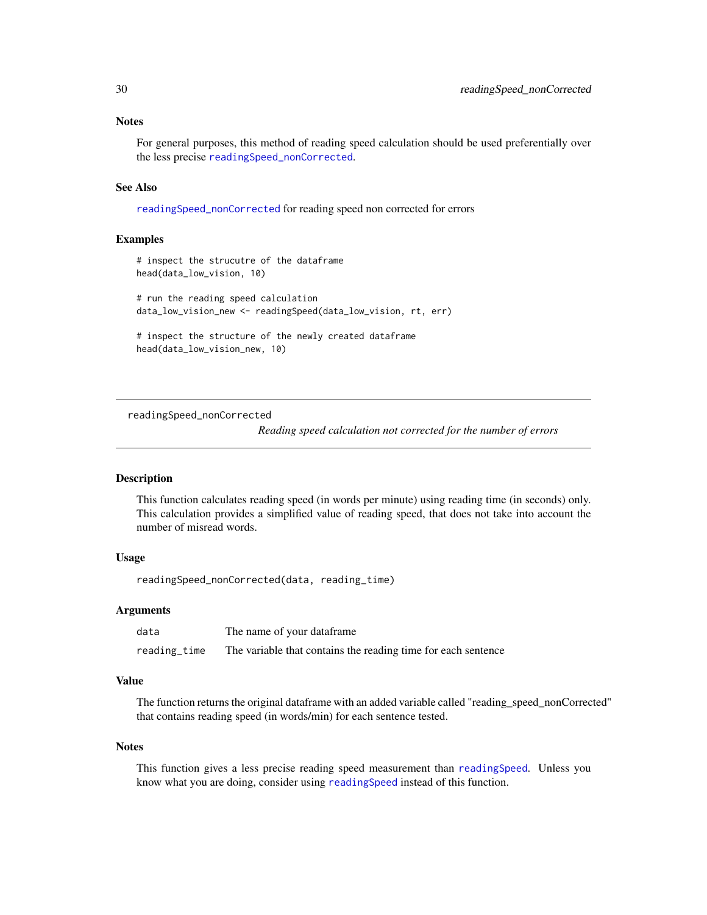#### <span id="page-29-0"></span>**Notes**

For general purposes, this method of reading speed calculation should be used preferentially over the less precise [readingSpeed\\_nonCorrected](#page-29-1).

# See Also

[readingSpeed\\_nonCorrected](#page-29-1) for reading speed non corrected for errors

# Examples

```
# inspect the strucutre of the dataframe
head(data_low_vision, 10)
# run the reading speed calculation
data_low_vision_new <- readingSpeed(data_low_vision, rt, err)
```
# inspect the structure of the newly created dataframe head(data\_low\_vision\_new, 10)

<span id="page-29-1"></span>readingSpeed\_nonCorrected

*Reading speed calculation not corrected for the number of errors*

#### **Description**

This function calculates reading speed (in words per minute) using reading time (in seconds) only. This calculation provides a simplified value of reading speed, that does not take into account the number of misread words.

# Usage

readingSpeed\_nonCorrected(data, reading\_time)

#### Arguments

| data         | The name of your dataframe                                    |
|--------------|---------------------------------------------------------------|
| reading_time | The variable that contains the reading time for each sentence |

# Value

The function returns the original dataframe with an added variable called "reading\_speed\_nonCorrected" that contains reading speed (in words/min) for each sentence tested.

#### Notes

This function gives a less precise reading speed measurement than [readingSpeed](#page-28-1). Unless you know what you are doing, consider using [readingSpeed](#page-28-1) instead of this function.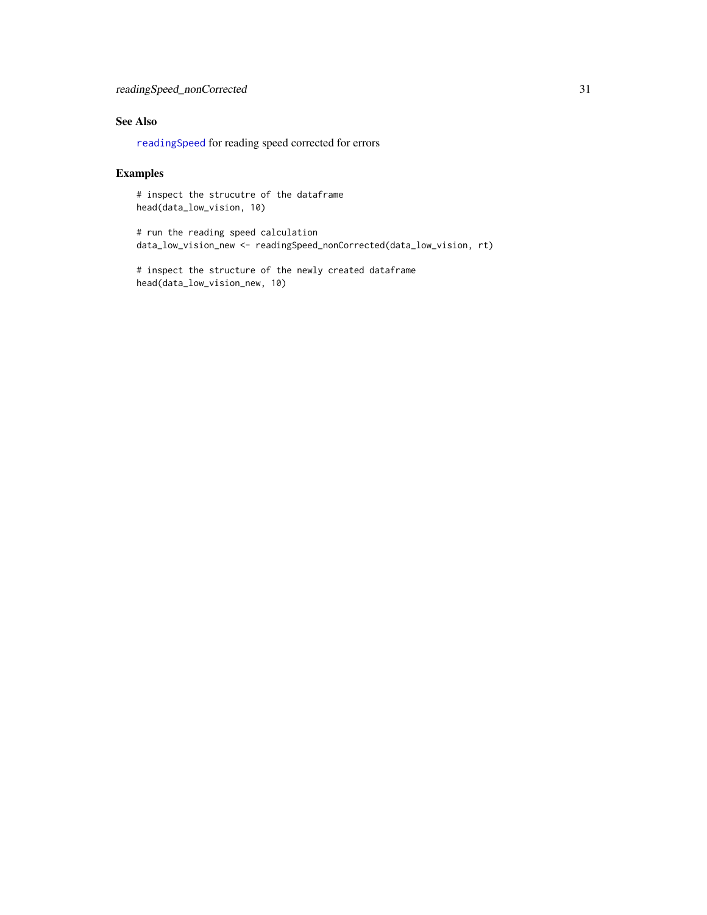# <span id="page-30-0"></span>See Also

[readingSpeed](#page-28-1) for reading speed corrected for errors

# Examples

# inspect the strucutre of the dataframe head(data\_low\_vision, 10)

# run the reading speed calculation data\_low\_vision\_new <- readingSpeed\_nonCorrected(data\_low\_vision, rt)

# inspect the structure of the newly created dataframe head(data\_low\_vision\_new, 10)